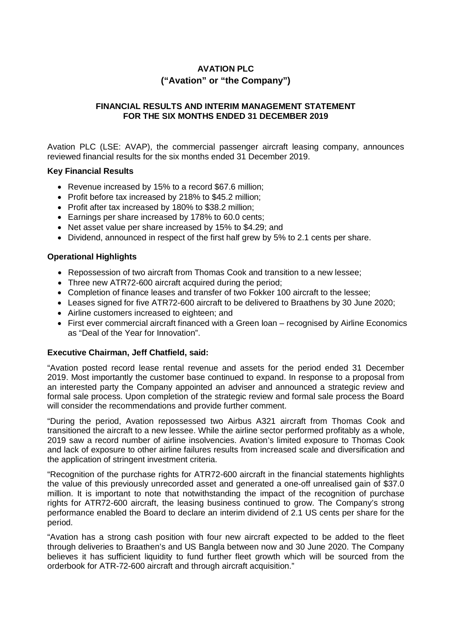# **AVATION PLC ("Avation" or "the Company")**

## **FINANCIAL RESULTS AND INTERIM MANAGEMENT STATEMENT FOR THE SIX MONTHS ENDED 31 DECEMBER 2019**

Avation PLC (LSE: AVAP), the commercial passenger aircraft leasing company, announces reviewed financial results for the six months ended 31 December 2019.

### **Key Financial Results**

- · Revenue increased by 15% to a record \$67.6 million;
- · Profit before tax increased by 218% to \$45.2 million;
- · Profit after tax increased by 180% to \$38.2 million;
- · Earnings per share increased by 178% to 60.0 cents;
- · Net asset value per share increased by 15% to \$4.29; and
- · Dividend, announced in respect of the first half grew by 5% to 2.1 cents per share.

## **Operational Highlights**

- · Repossession of two aircraft from Thomas Cook and transition to a new lessee;
- Three new ATR72-600 aircraft acquired during the period;
- · Completion of finance leases and transfer of two Fokker 100 aircraft to the lessee;
- · Leases signed for five ATR72-600 aircraft to be delivered to Braathens by 30 June 2020;
- · Airline customers increased to eighteen; and
- First ever commercial aircraft financed with a Green loan recognised by Airline Economics as "Deal of the Year for Innovation".

## **Executive Chairman, Jeff Chatfield, said:**

"Avation posted record lease rental revenue and assets for the period ended 31 December 2019. Most importantly the customer base continued to expand. In response to a proposal from an interested party the Company appointed an adviser and announced a strategic review and formal sale process. Upon completion of the strategic review and formal sale process the Board will consider the recommendations and provide further comment.

"During the period, Avation repossessed two Airbus A321 aircraft from Thomas Cook and transitioned the aircraft to a new lessee. While the airline sector performed profitably as a whole, 2019 saw a record number of airline insolvencies. Avation's limited exposure to Thomas Cook and lack of exposure to other airline failures results from increased scale and diversification and the application of stringent investment criteria.

"Recognition of the purchase rights for ATR72-600 aircraft in the financial statements highlights the value of this previously unrecorded asset and generated a one-off unrealised gain of \$37.0 million. It is important to note that notwithstanding the impact of the recognition of purchase rights for ATR72-600 aircraft, the leasing business continued to grow. The Company's strong performance enabled the Board to declare an interim dividend of 2.1 US cents per share for the period.

"Avation has a strong cash position with four new aircraft expected to be added to the fleet through deliveries to Braathen's and US Bangla between now and 30 June 2020. The Company believes it has sufficient liquidity to fund further fleet growth which will be sourced from the orderbook for ATR-72-600 aircraft and through aircraft acquisition."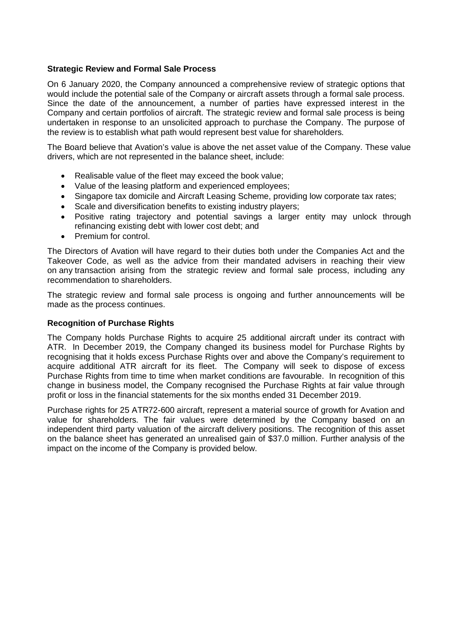## **Strategic Review and Formal Sale Process**

On 6 January 2020, the Company announced a comprehensive review of strategic options that would include the potential sale of the Company or aircraft assets through a formal sale process. Since the date of the announcement, a number of parties have expressed interest in the Company and certain portfolios of aircraft. The strategic review and formal sale process is being undertaken in response to an unsolicited approach to purchase the Company. The purpose of the review is to establish what path would represent best value for shareholders.

The Board believe that Avation's value is above the net asset value of the Company. These value drivers, which are not represented in the balance sheet, include:

- · Realisable value of the fleet may exceed the book value;
- · Value of the leasing platform and experienced employees;
- · Singapore tax domicile and Aircraft Leasing Scheme, providing low corporate tax rates;
- · Scale and diversification benefits to existing industry players;
- · Positive rating trajectory and potential savings a larger entity may unlock through refinancing existing debt with lower cost debt; and
- Premium for control.

The Directors of Avation will have regard to their duties both under the Companies Act and the Takeover Code, as well as the advice from their mandated advisers in reaching their view on any transaction arising from the strategic review and formal sale process, including any recommendation to shareholders.

The strategic review and formal sale process is ongoing and further announcements will be made as the process continues.

## **Recognition of Purchase Rights**

The Company holds Purchase Rights to acquire 25 additional aircraft under its contract with ATR. In December 2019, the Company changed its business model for Purchase Rights by recognising that it holds excess Purchase Rights over and above the Company's requirement to acquire additional ATR aircraft for its fleet. The Company will seek to dispose of excess Purchase Rights from time to time when market conditions are favourable. In recognition of this change in business model, the Company recognised the Purchase Rights at fair value through profit or loss in the financial statements for the six months ended 31 December 2019.

Purchase rights for 25 ATR72-600 aircraft, represent a material source of growth for Avation and value for shareholders. The fair values were determined by the Company based on an independent third party valuation of the aircraft delivery positions. The recognition of this asset on the balance sheet has generated an unrealised gain of \$37.0 million. Further analysis of the impact on the income of the Company is provided below.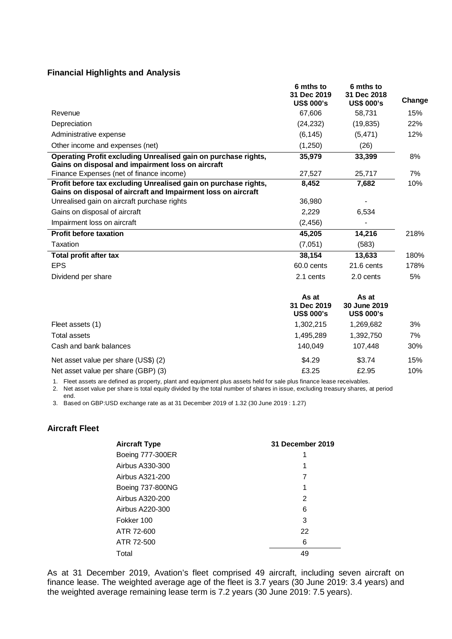### **Financial Highlights and Analysis**

|                                                                                                                                  | 6 mths to<br>31 Dec 2019<br><b>US\$ 000's</b> | 6 mths to<br>31 Dec 2018<br><b>US\$ 000's</b> | Change |
|----------------------------------------------------------------------------------------------------------------------------------|-----------------------------------------------|-----------------------------------------------|--------|
| Revenue                                                                                                                          | 67,606                                        | 58,731                                        | 15%    |
| Depreciation                                                                                                                     | (24, 232)                                     | (19, 835)                                     | 22%    |
| Administrative expense                                                                                                           | (6, 145)                                      | (5, 471)                                      | 12%    |
| Other income and expenses (net)                                                                                                  | (1,250)                                       | (26)                                          |        |
| Operating Profit excluding Unrealised gain on purchase rights,<br>Gains on disposal and impairment loss on aircraft              | 35,979                                        | 33,399                                        | 8%     |
| Finance Expenses (net of finance income)                                                                                         | 27,527                                        | 25,717                                        | 7%     |
| Profit before tax excluding Unrealised gain on purchase rights,<br>Gains on disposal of aircraft and Impairment loss on aircraft | 8,452                                         | 7,682                                         | 10%    |
| Unrealised gain on aircraft purchase rights                                                                                      | 36,980                                        |                                               |        |
| Gains on disposal of aircraft                                                                                                    | 2,229                                         | 6,534                                         |        |
| Impairment loss on aircraft                                                                                                      | (2, 456)                                      | $\overline{\phantom{a}}$                      |        |
| <b>Profit before taxation</b>                                                                                                    | 45,205                                        | 14,216                                        | 218%   |
| Taxation                                                                                                                         | (7,051)                                       | (583)                                         |        |
| <b>Total profit after tax</b>                                                                                                    | 38,154                                        | 13,633                                        | 180%   |
| <b>EPS</b>                                                                                                                       | 60.0 cents                                    | 21.6 cents                                    | 178%   |
| Dividend per share                                                                                                               | 2.1 cents                                     | 2.0 cents                                     | 5%     |

|                                      | As at<br>31 Dec 2019<br><b>US\$ 000's</b> | As at<br>30 June 2019<br><b>US\$ 000's</b> |     |
|--------------------------------------|-------------------------------------------|--------------------------------------------|-----|
| Fleet assets (1)                     | 1,302,215                                 | 1,269,682                                  | 3%  |
| Total assets                         | 1.495.289                                 | 1,392,750                                  | 7%  |
| Cash and bank balances               | 140.049                                   | 107.448                                    | 30% |
| Net asset value per share (US\$) (2) | \$4.29                                    | \$3.74                                     | 15% |
| Net asset value per share (GBP) (3)  | £3.25                                     | £2.95                                      | 10% |

1. Fleet assets are defined as property, plant and equipment plus assets held for sale plus finance lease receivables.

2. Net asset value per share is total equity divided by the total number of shares in issue, excluding treasury shares, at period end.

3. Based on GBP:USD exchange rate as at 31 December 2019 of 1.32 (30 June 2019 : 1.27)

## **Aircraft Fleet**

| <b>Aircraft Type</b> | 31 December 2019 |
|----------------------|------------------|
| Boeing 777-300ER     |                  |
| Airbus A330-300      | 1                |
| Airbus A321-200      | 7                |
| Boeing 737-800NG     | 1                |
| Airbus A320-200      | 2                |
| Airbus A220-300      | 6                |
| Fokker 100           | 3                |
| ATR 72-600           | 22               |
| ATR 72-500           | 6                |
| Total                | 49               |

As at 31 December 2019, Avation's fleet comprised 49 aircraft, including seven aircraft on finance lease. The weighted average age of the fleet is 3.7 years (30 June 2019: 3.4 years) and the weighted average remaining lease term is 7.2 years (30 June 2019: 7.5 years).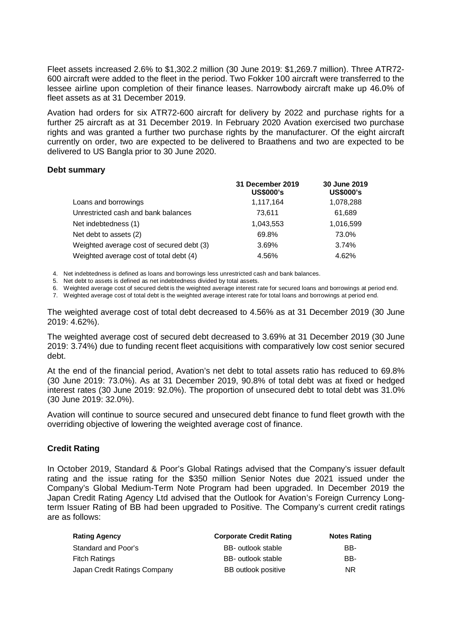Fleet assets increased 2.6% to \$1,302.2 million (30 June 2019: \$1,269.7 million). Three ATR72- 600 aircraft were added to the fleet in the period. Two Fokker 100 aircraft were transferred to the lessee airline upon completion of their finance leases. Narrowbody aircraft make up 46.0% of fleet assets as at 31 December 2019.

Avation had orders for six ATR72-600 aircraft for delivery by 2022 and purchase rights for a further 25 aircraft as at 31 December 2019. In February 2020 Avation exercised two purchase rights and was granted a further two purchase rights by the manufacturer. Of the eight aircraft currently on order, two are expected to be delivered to Braathens and two are expected to be delivered to US Bangla prior to 30 June 2020.

### **Debt summary**

|                                           | 31 December 2019<br><b>US\$000's</b> | 30 June 2019<br><b>US\$000's</b> |
|-------------------------------------------|--------------------------------------|----------------------------------|
| Loans and borrowings                      | 1,117,164                            | 1,078,288                        |
| Unrestricted cash and bank balances       | 73.611                               | 61,689                           |
| Net indebtedness (1)                      | 1,043,553                            | 1,016,599                        |
| Net debt to assets (2)                    | 69.8%                                | 73.0%                            |
| Weighted average cost of secured debt (3) | 3.69%                                | 3.74%                            |
| Weighted average cost of total debt (4)   | 4.56%                                | 4.62%                            |

4. Net indebtedness is defined as loans and borrowings less unrestricted cash and bank balances.

5. Net debt to assets is defined as net indebtedness divided by total assets.

6. Weighted average cost of secured debt is the weighted average interest rate for secured loans and borrowings at period end.

7. Weighted average cost of total debt is the weighted average interest rate for total loans and borrowings at period end.

The weighted average cost of total debt decreased to 4.56% as at 31 December 2019 (30 June 2019: 4.62%).

The weighted average cost of secured debt decreased to 3.69% at 31 December 2019 (30 June 2019: 3.74%) due to funding recent fleet acquisitions with comparatively low cost senior secured debt.

At the end of the financial period, Avation's net debt to total assets ratio has reduced to 69.8% (30 June 2019: 73.0%). As at 31 December 2019, 90.8% of total debt was at fixed or hedged interest rates (30 June 2019: 92.0%). The proportion of unsecured debt to total debt was 31.0% (30 June 2019: 32.0%).

Avation will continue to source secured and unsecured debt finance to fund fleet growth with the overriding objective of lowering the weighted average cost of finance.

## **Credit Rating**

In October 2019, Standard & Poor's Global Ratings advised that the Company's issuer default rating and the issue rating for the \$350 million Senior Notes due 2021 issued under the Company's Global Medium-Term Note Program had been upgraded. In December 2019 the Japan Credit Rating Agency Ltd advised that the Outlook for Avation's Foreign Currency Longterm Issuer Rating of BB had been upgraded to Positive. The Company's current credit ratings are as follows:

| <b>Rating Agency</b>         | <b>Corporate Credit Rating</b> | <b>Notes Rating</b> |
|------------------------------|--------------------------------|---------------------|
| Standard and Poor's          | BB- outlook stable             | BB-                 |
| <b>Fitch Ratings</b>         | BB- outlook stable             | BB-                 |
| Japan Credit Ratings Company | BB outlook positive            | <b>NR</b>           |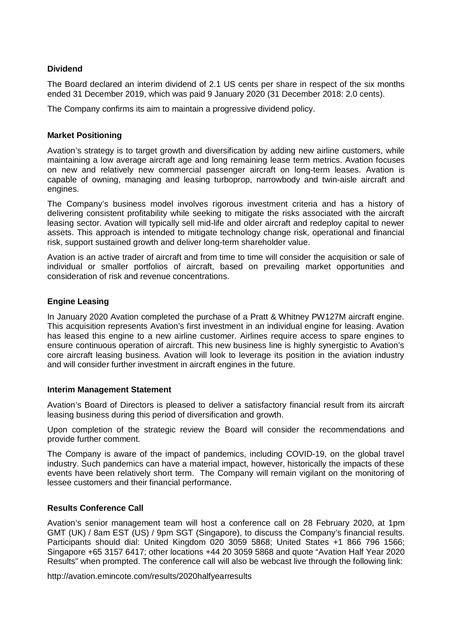## **Dividend**

The Board declared an interim dividend of 2.1 US cents per share in respect of the six months ended 31 December 2019, which was paid 9 January 2020 (31 December 2018: 2.0 cents).

The Company confirms its aim to maintain a progressive dividend policy.

### **Market Positioning**

Avation's strategy is to target growth and diversification by adding new airline customers, while maintaining a low average aircraft age and long remaining lease term metrics. Avation focuses on new and relatively new commercial passenger aircraft on long-term leases. Avation is capable of owning, managing and leasing turboprop, narrowbody and twin-aisle aircraft and engines.

The Company's business model involves rigorous investment criteria and has a history of delivering consistent profitability while seeking to mitigate the risks associated with the aircraft leasing sector. Avation will typically sell mid-life and older aircraft and redeploy capital to newer assets. This approach is intended to mitigate technology change risk, operational and financial risk, support sustained growth and deliver long-term shareholder value.

Avation is an active trader of aircraft and from time to time will consider the acquisition or sale of individual or smaller portfolios of aircraft, based on prevailing market opportunities and consideration of risk and revenue concentrations.

## **Engine Leasing**

In January 2020 Avation completed the purchase of a Pratt & Whitney PW127M aircraft engine. This acquisition represents Avation's first investment in an individual engine for leasing. Avation has leased this engine to a new airline customer. Airlines require access to spare engines to ensure continuous operation of aircraft. This new business line is highly synergistic to Avation's core aircraft leasing business. Avation will look to leverage its position in the aviation industry and will consider further investment in aircraft engines in the future.

### **Interim Management Statement**

Avation's Board of Directors is pleased to deliver a satisfactory financial result from its aircraft leasing business during this period of diversification and growth.

Upon completion of the strategic review the Board will consider the recommendations and provide further comment.

The Company is aware of the impact of pandemics, including COVID-19, on the global travel industry. Such pandemics can have a material impact, however, historically the impacts of these events have been relatively short term. The Company will remain vigilant on the monitoring of lessee customers and their financial performance.

## **Results Conference Call**

Avation's senior management team will host a conference call on 28 February 2020, at 1pm GMT (UK) / 8am EST (US) / 9pm SGT (Singapore), to discuss the Company's financial results. Participants should dial: United Kingdom 020 3059 5868; United States +1 866 796 1566; Singapore +65 3157 6417; other locations +44 20 3059 5868 and quote "Avation Half Year 2020 Results" when prompted. The conference call will also be webcast live through the following link:

http://avation.emincote.com/results/2020halfyearresults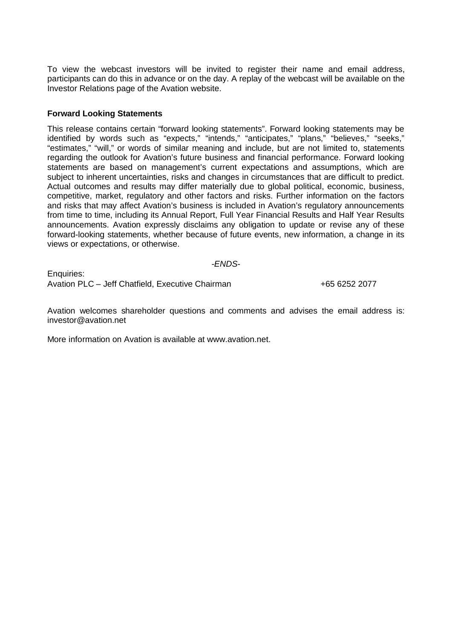To view the webcast investors will be invited to register their name and email address, participants can do this in advance or on the day. A replay of the webcast will be available on the Investor Relations page of the Avation website.

### **Forward Looking Statements**

This release contains certain "forward looking statements". Forward looking statements may be identified by words such as "expects," "intends," "anticipates," "plans," "believes," "seeks," "estimates," "will," or words of similar meaning and include, but are not limited to, statements regarding the outlook for Avation's future business and financial performance. Forward looking statements are based on management's current expectations and assumptions, which are subject to inherent uncertainties, risks and changes in circumstances that are difficult to predict. Actual outcomes and results may differ materially due to global political, economic, business, competitive, market, regulatory and other factors and risks. Further information on the factors and risks that may affect Avation's business is included in Avation's regulatory announcements from time to time, including its Annual Report, Full Year Financial Results and Half Year Results announcements. Avation expressly disclaims any obligation to update or revise any of these forward-looking statements, whether because of future events, new information, a change in its views or expectations, or otherwise.

*-ENDS*-

Enquiries: Avation PLC – Jeff Chatfield, Executive Chairman +  $\frac{6562522077}{ }$ 

Avation welcomes shareholder questions and comments and advises the email address is: investor@avation.net

More information on Avation is available at www.avation.net.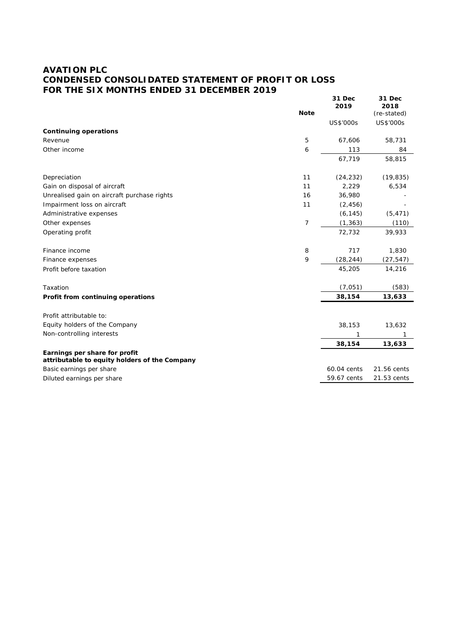## **AVATION PLC CONDENSED CONSOLIDATED STATEMENT OF PROFIT OR LOSS FOR THE SIX MONTHS ENDED 31 DECEMBER 2019**

|                                               |                | 31 Dec      | 31 Dec                   |
|-----------------------------------------------|----------------|-------------|--------------------------|
|                                               | Note           | 2019        | 2018                     |
|                                               |                |             | (re-stated)<br>US\$'000s |
|                                               |                | US\$'000s   |                          |
| Continuing operations                         |                |             |                          |
| Revenue                                       | 5              | 67,606      | 58,731                   |
| Other income                                  | 6              | 113         | 84                       |
|                                               |                | 67,719      | 58,815                   |
| Depreciation                                  | 11             | (24, 232)   | (19, 835)                |
| Gain on disposal of aircraft                  | 11             | 2,229       | 6,534                    |
| Unrealised gain on aircraft purchase rights   | 16             | 36,980      |                          |
| Impairment loss on aircraft                   | 11             | (2, 456)    |                          |
| Administrative expenses                       |                | (6, 145)    | (5, 471)                 |
| Other expenses                                | $\overline{7}$ | (1, 363)    | (110)                    |
| Operating profit                              |                | 72,732      | 39,933                   |
| Finance income                                | 8              | 717         | 1,830                    |
| Finance expenses                              | 9              | (28, 244)   | (27, 547)                |
| Profit before taxation                        |                | 45,205      | 14,216                   |
| Taxation                                      |                | (7,051)     | (583)                    |
| Profit from continuing operations             |                | 38,154      | 13,633                   |
| Profit attributable to:                       |                |             |                          |
| Equity holders of the Company                 |                | 38,153      | 13,632                   |
| Non-controlling interests                     |                | 1           | 1                        |
|                                               |                | 38,154      | 13,633                   |
| Earnings per share for profit                 |                |             |                          |
| attributable to equity holders of the Company |                |             |                          |
| Basic earnings per share                      |                | 60.04 cents | 21.56 cents              |
| Diluted earnings per share                    |                | 59.67 cents | 21.53 cents              |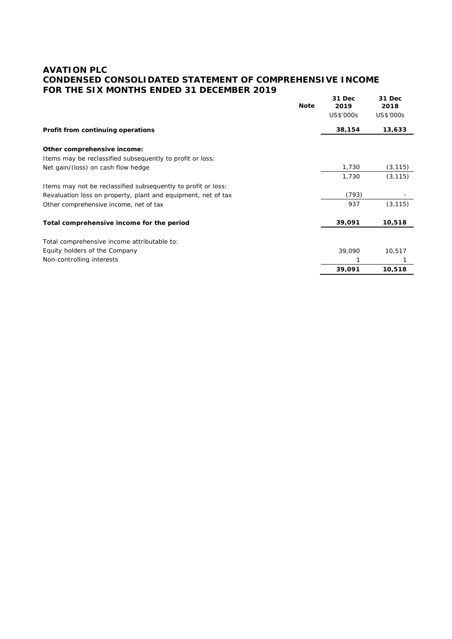## **AVATION PLC CONDENSED CONSOLIDATED STATEMENT OF COMPREHENSIVE INCOME FOR THE SIX MONTHS ENDED 31 DECEMBER 2019**

|                                                               | <b>Note</b> | 31 Dec<br>2019<br>US\$'000s | 31 Dec<br>2018<br>US\$'000s |
|---------------------------------------------------------------|-------------|-----------------------------|-----------------------------|
| Profit from continuing operations                             |             | 38,154                      | 13,633                      |
| Other comprehensive income:                                   |             |                             |                             |
| Items may be reclassified subsequently to profit or loss:     |             |                             |                             |
| Net gain/(loss) on cash flow hedge                            |             | 1,730                       | (3, 115)                    |
|                                                               |             | 1,730                       | (3, 115)                    |
| Items may not be reclassified subsequently to profit or loss: |             |                             |                             |
| Revaluation loss on property, plant and equipment, net of tax |             | (793)                       |                             |
| Other comprehensive income, net of tax                        |             | 937                         | (3, 115)                    |
| Total comprehensive income for the period                     |             | 39,091                      | 10,518                      |
| Total comprehensive income attributable to:                   |             |                             |                             |
| Equity holders of the Company                                 |             | 39,090                      | 10,517                      |
| Non-controlling interests                                     |             |                             |                             |
|                                                               |             | 39,091                      | 10,518                      |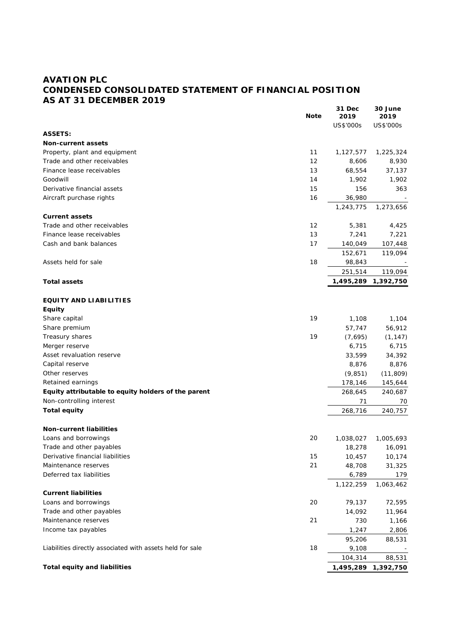## **AVATION PLC CONDENSED CONSOLIDATED STATEMENT OF FINANCIAL POSITION AS AT 31 DECEMBER 2019**

|                                                           | Note | 31 Dec<br>2019 | 30 June<br>2019     |
|-----------------------------------------------------------|------|----------------|---------------------|
|                                                           |      | US\$'000s      | US\$'000s           |
| ASSETS:                                                   |      |                |                     |
| Non-current assets                                        |      |                |                     |
| Property, plant and equipment                             | 11   | 1,127,577      | 1,225,324           |
| Trade and other receivables                               | 12   | 8,606          | 8,930               |
| Finance lease receivables                                 | 13   | 68,554         | 37,137              |
| Goodwill                                                  | 14   | 1,902          | 1,902               |
| Derivative financial assets                               | 15   | 156            | 363                 |
| Aircraft purchase rights                                  | 16   | 36,980         |                     |
|                                                           |      | 1,243,775      | 1,273,656           |
| Current assets                                            |      |                |                     |
| Trade and other receivables                               | 12   | 5,381          | 4,425               |
| Finance lease receivables                                 | 13   | 7,241          | 7,221               |
| Cash and bank balances                                    | 17   | 140,049        | 107,448             |
|                                                           |      | 152,671        | 119,094             |
| Assets held for sale                                      | 18   | 98,843         |                     |
|                                                           |      | 251,514        | 119,094             |
| Total assets                                              |      | 1,495,289      | 1,392,750           |
|                                                           |      |                |                     |
| EQUITY AND LIABILITIES                                    |      |                |                     |
| Equity                                                    |      |                |                     |
| Share capital                                             | 19   | 1,108          | 1,104               |
| Share premium                                             |      | 57,747         | 56,912              |
| Treasury shares                                           | 19   | (7,695)        | (1, 147)            |
| Merger reserve                                            |      | 6,715          | 6,715               |
| Asset revaluation reserve                                 |      | 33,599         | 34,392              |
| Capital reserve                                           |      | 8,876          | 8,876               |
| Other reserves                                            |      | (9,851)        | (11, 809)           |
| Retained earnings                                         |      | 178,146        | 145,644             |
|                                                           |      |                |                     |
| Equity attributable to equity holders of the parent       |      | 268,645        | 240,687             |
| Non-controlling interest                                  |      | 71             | 70                  |
| Total equity                                              |      | 268,716        | 240,757             |
|                                                           |      |                |                     |
| Non-current liabilities                                   |      |                |                     |
| Loans and borrowings                                      | 20   | 1,038,027      | 1,005,693           |
| Trade and other payables                                  |      | 18,278         | 16,091              |
| Derivative financial liabilities                          | 15   | 10,457         | 10,174              |
| Maintenance reserves                                      | 21   | 48,708         | 31,325              |
| Deferred tax liabilities                                  |      | 6,789          | 179                 |
|                                                           |      | 1,122,259      | 1,063,462           |
| <b>Current liabilities</b>                                |      |                |                     |
| Loans and borrowings                                      | 20   | 79,137         | 72,595              |
| Trade and other payables                                  |      | 14,092         | 11,964              |
| Maintenance reserves                                      | 21   | 730            | 1,166               |
| Income tax payables                                       |      | 1,247          | 2,806               |
|                                                           |      | 95,206         | 88,531              |
| Liabilities directly associated with assets held for sale | 18   | 9,108          |                     |
|                                                           |      | 104,314        | 88,531              |
| Total equity and liabilities                              |      |                | 1,495,289 1,392,750 |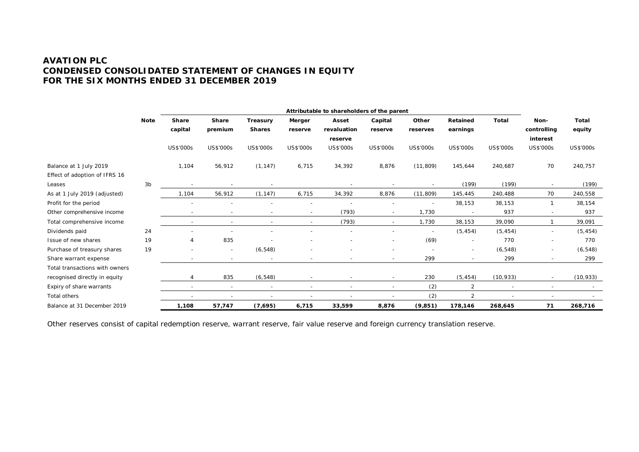## **AVATION PLC CONDENSED CONSOLIDATED STATEMENT OF CHANGES IN EQUITY FOR THE SIX MONTHS ENDED 31 DECEMBER 2019**

|                                         |                | Attributable to shareholders of the parent |                          |                          |                          |                                 |                          |                          |                          |           |                                 |                 |
|-----------------------------------------|----------------|--------------------------------------------|--------------------------|--------------------------|--------------------------|---------------------------------|--------------------------|--------------------------|--------------------------|-----------|---------------------------------|-----------------|
|                                         | Note           | Share<br>capital                           | Share<br>premium         | Treasury<br>Shares       | Merger<br>reserve        | Asset<br>revaluation<br>reserve | Capital<br>reserve       | Other<br>reserves        | Retained<br>earnings     | Total     | Non-<br>controlling<br>interest | Total<br>equity |
|                                         |                | US\$'000s                                  | US\$'000s                | US\$'000s                | US\$'000s                | US\$'000s                       | US\$'000s                | <b>US\$'000s</b>         | US\$'000s                | US\$'000s | US\$'000s                       | US\$'000s       |
| Balance at 1 July 2019                  |                | 1,104                                      | 56,912                   | (1, 147)                 | 6,715                    | 34,392                          | 8,876                    | (11, 809)                | 145,644                  | 240,687   | 70                              | 240,757         |
| Effect of adoption of IFRS 16<br>Leases | 3 <sub>b</sub> | $\overline{\phantom{a}}$                   |                          | $\overline{\phantom{a}}$ |                          |                                 |                          |                          | (199)                    | (199)     | $\overline{\phantom{a}}$        | (199)           |
| As at 1 July 2019 (adjusted)            |                | 1,104                                      | 56,912                   | (1, 147)                 | 6,715                    | 34,392                          | 8,876                    | (11, 809)                | 145,445                  | 240,488   | 70                              | 240,558         |
| Profit for the period                   |                |                                            |                          |                          |                          |                                 |                          | $\overline{\phantom{0}}$ | 38,153                   | 38,153    |                                 | 38,154          |
| Other comprehensive income              |                |                                            | $\overline{\phantom{a}}$ | $\overline{\phantom{a}}$ |                          | (793)                           |                          | 1,730                    |                          | 937       | $\overline{\phantom{a}}$        | 937             |
| Total comprehensive income              |                | $\overline{\phantom{a}}$                   | $\sim$                   | $\sim$                   | $\overline{\phantom{a}}$ | (793)                           | $\sim$                   | 1,730                    | 38,153                   | 39,090    |                                 | 39,091          |
| Dividends paid                          | 24             |                                            |                          |                          |                          |                                 |                          | $\overline{a}$           | (5, 454)                 | (5, 454)  | $\sim$                          | (5, 454)        |
| Issue of new shares                     | 19             | 4                                          | 835                      |                          |                          |                                 |                          | (69)                     | $\overline{\phantom{a}}$ | 770       | $\overline{\phantom{a}}$        | 770             |
| Purchase of treasury shares             | 19             |                                            | $\overline{\phantom{a}}$ | (6, 548)                 |                          |                                 | $\overline{\phantom{a}}$ |                          | $\sim$                   | (6, 548)  | $\sim$                          | (6, 548)        |
| Share warrant expense                   |                |                                            | $\overline{\phantom{0}}$ | $\overline{\phantom{a}}$ |                          |                                 |                          | 299                      | $\sim$                   | 299       | $\overline{\phantom{0}}$        | 299             |
| Total transactions with owners          |                |                                            |                          |                          |                          |                                 |                          |                          |                          |           |                                 |                 |
| recognised directly in equity           |                | $\overline{A}$                             | 835                      | (6, 548)                 |                          |                                 | $\sim$                   | 230                      | (5, 454)                 | (10, 933) | $\overline{\phantom{a}}$        | (10, 933)       |
| Expiry of share warrants                |                | $\overline{\phantom{a}}$                   | $\overline{\phantom{a}}$ | $\overline{\phantom{a}}$ | $\overline{a}$           | $\overline{\phantom{a}}$        | $\overline{\phantom{a}}$ | (2)                      | $\overline{2}$           | $\sim$    | $\overline{\phantom{a}}$        | $\sim$          |
| Total others                            |                |                                            | $\overline{\phantom{a}}$ | $\overline{\phantom{a}}$ |                          | $\overline{\phantom{a}}$        |                          | (2)                      | $\overline{2}$           |           | $\overline{\phantom{a}}$        |                 |
| Balance at 31 December 2019             |                | 1,108                                      | 57,747                   | (7,695)                  | 6,715                    | 33,599                          | 8,876                    | (9,851)                  | 178,146                  | 268,645   | 71                              | 268,716         |

Other reserves consist of capital redemption reserve, warrant reserve, fair value reserve and foreign currency translation reserve.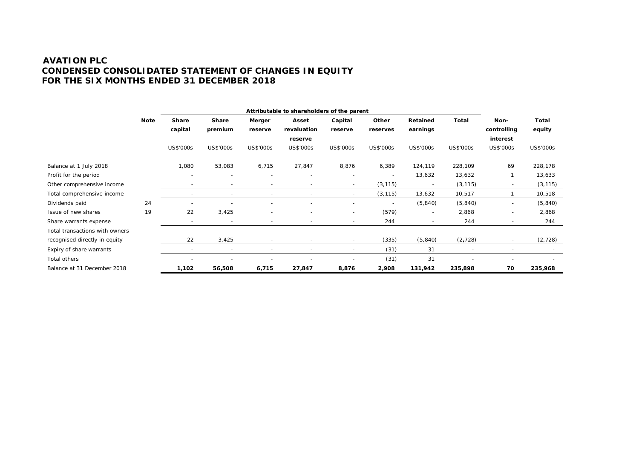## **AVATION PLC CONDENSED CONSOLIDATED STATEMENT OF CHANGES IN EQUITY FOR THE SIX MONTHS ENDED 31 DECEMBER 2018**

|                                |      | Attributable to shareholders of the parent |                          |                          |                          |                          |                          |                          |                          |                          |           |
|--------------------------------|------|--------------------------------------------|--------------------------|--------------------------|--------------------------|--------------------------|--------------------------|--------------------------|--------------------------|--------------------------|-----------|
|                                | Note | Share                                      | Share                    | Merger                   | Asset                    | Capital                  | Other                    | Retained                 | Total                    | Non-                     | Total     |
|                                |      | capital                                    | premium                  | reserve                  | revaluation              | reserve                  | reserves                 | earnings                 |                          | controlling              | equity    |
|                                |      |                                            |                          |                          | reserve                  |                          |                          |                          |                          | interest                 |           |
|                                |      | US\$'000s                                  | US\$'000s                | US\$'000s                | US\$'000s                | US\$'000s                | <b>US\$'000s</b>         | US\$'000s                | US\$'000s                | US\$'000s                | US\$'000s |
| Balance at 1 July 2018         |      | 1,080                                      | 53,083                   | 6,715                    | 27,847                   | 8,876                    | 6,389                    | 124,119                  | 228,109                  | 69                       | 228,178   |
| Profit for the period          |      |                                            | $\overline{\phantom{a}}$ | $\overline{\phantom{a}}$ |                          |                          | $\overline{\phantom{a}}$ | 13,632                   | 13,632                   |                          | 13,633    |
| Other comprehensive income     |      |                                            |                          | $\overline{\phantom{a}}$ |                          | $\overline{\phantom{a}}$ | (3, 115)                 |                          | (3, 115)                 |                          | (3, 115)  |
| Total comprehensive income     |      | ۰                                          | $\overline{\phantom{a}}$ | $\overline{\phantom{a}}$ | $\overline{\phantom{a}}$ | $\sim$                   | (3, 115)                 | 13,632                   | 10,517                   |                          | 10,518    |
| Dividends paid                 | 24   |                                            |                          |                          |                          |                          |                          | (5, 840)                 | (5, 840)                 | $\overline{\phantom{a}}$ | (5, 840)  |
| Issue of new shares            | 19   | 22                                         | 3,425                    | ۰                        |                          |                          | (579)                    | $\overline{\phantom{a}}$ | 2,868                    | $\overline{\phantom{a}}$ | 2,868     |
| Share warrants expense         |      | $\overline{\phantom{a}}$                   | $\overline{\phantom{a}}$ | $\overline{\phantom{a}}$ | $\overline{\phantom{a}}$ | $\overline{\phantom{a}}$ | 244                      |                          | 244                      | $\overline{\phantom{a}}$ | 244       |
| Total transactions with owners |      |                                            |                          |                          |                          |                          |                          |                          |                          |                          |           |
| recognised directly in equity  |      | 22                                         | 3,425                    | $\overline{\phantom{a}}$ | $\overline{\phantom{a}}$ | $\sim$                   | (335)                    | (5, 840)                 | (2, 728)                 | $\overline{\phantom{a}}$ | (2, 728)  |
| Expiry of share warrants       |      | $\overline{\phantom{a}}$                   | $\overline{\phantom{a}}$ | $\overline{\phantom{a}}$ | $\overline{\phantom{a}}$ | $\overline{\phantom{a}}$ | (31)                     | 31                       | $\overline{\phantom{a}}$ | $\overline{\phantom{a}}$ |           |
| Total others                   |      | $\overline{\phantom{a}}$                   | $\overline{\phantom{a}}$ | -                        | $\overline{\phantom{0}}$ |                          | (31)                     | 31                       | $\overline{\phantom{a}}$ | $\overline{\phantom{a}}$ |           |
| Balance at 31 December 2018    |      | 1,102                                      | 56,508                   | 6,715                    | 27,847                   | 8,876                    | 2,908                    | 131,942                  | 235,898                  | 70                       | 235,968   |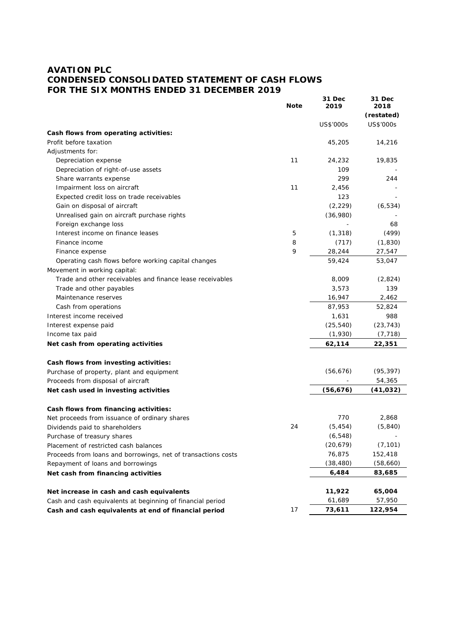## **AVATION PLC CONDENSED CONSOLIDATED STATEMENT OF CASH FLOWS FOR THE SIX MONTHS ENDED 31 DECEMBER 2019**

|                                                               | <b>Note</b> | 31 Dec<br>2019 | 31 Dec<br>2018 |
|---------------------------------------------------------------|-------------|----------------|----------------|
|                                                               |             |                | (restated)     |
|                                                               |             | US\$'000s      | US\$'000s      |
| Cash flows from operating activities:                         |             |                |                |
| Profit before taxation                                        |             | 45,205         | 14,216         |
| Adjustments for:                                              |             |                |                |
| Depreciation expense                                          | 11          | 24,232         | 19,835         |
|                                                               |             | 109            |                |
| Depreciation of right-of-use assets                           |             |                |                |
| Share warrants expense                                        |             | 299            | 244            |
| Impairment loss on aircraft                                   | 11          | 2,456          |                |
| Expected credit loss on trade receivables                     |             | 123            |                |
| Gain on disposal of aircraft                                  |             | (2, 229)       | (6, 534)       |
| Unrealised gain on aircraft purchase rights                   |             | (36,980)       |                |
| Foreign exchange loss                                         |             |                | 68             |
| Interest income on finance leases                             | 5           | (1, 318)       | (499)          |
| Finance income                                                | 8           | (717)          | (1,830)        |
| Finance expense                                               | 9           | 28,244         | 27,547         |
| Operating cash flows before working capital changes           |             | 59,424         | 53,047         |
| Movement in working capital:                                  |             |                |                |
| Trade and other receivables and finance lease receivables     |             | 8,009          | (2,824)        |
| Trade and other payables                                      |             | 3,573          | 139            |
| Maintenance reserves                                          |             | 16,947         | 2,462          |
| Cash from operations                                          |             | 87,953         | 52,824         |
| Interest income received                                      |             | 1,631          | 988            |
| Interest expense paid                                         |             | (25, 540)      | (23, 743)      |
| Income tax paid                                               |             | (1,930)        | (7, 718)       |
| Net cash from operating activities                            |             | 62,114         | 22,351         |
| Cash flows from investing activities:                         |             |                |                |
| Purchase of property, plant and equipment                     |             | (56, 676)      | (95, 397)      |
| Proceeds from disposal of aircraft                            |             |                | 54,365         |
| Net cash used in investing activities                         |             | (56, 676)      | (41, 032)      |
| Cash flows from financing activities:                         |             |                |                |
| Net proceeds from issuance of ordinary shares                 |             | 770            | 2,868          |
| Dividends paid to shareholders                                | 24          | (5, 454)       | (5, 840)       |
| Purchase of treasury shares                                   |             | (6, 548)       |                |
| Placement of restricted cash balances                         |             | (20, 679)      | (7, 101)       |
| Proceeds from loans and borrowings, net of transactions costs |             | 76,875         | 152,418        |
| Repayment of loans and borrowings                             |             | (38, 480)      | (58, 660)      |
| Net cash from financing activities                            |             | 6,484          | 83,685         |
| Net increase in cash and cash equivalents                     |             | 11,922         | 65,004         |
| Cash and cash equivalents at beginning of financial period    |             | 61,689         | 57,950         |
| Cash and cash equivalents at end of financial period          | 17          | 73,611         | 122,954        |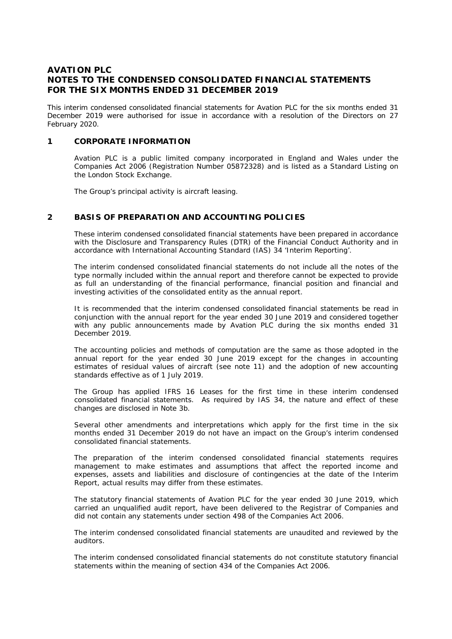### **AVATION PLC NOTES TO THE CONDENSED CONSOLIDATED FINANCIAL STATEMENTS FOR THE SIX MONTHS ENDED 31 DECEMBER 2019**

This interim condensed consolidated financial statements for Avation PLC for the six months ended 31 December 2019 were authorised for issue in accordance with a resolution of the Directors on 27 February 2020.

#### **1 CORPORATE INFORMATION**

Avation PLC is a public limited company incorporated in England and Wales under the Companies Act 2006 (Registration Number 05872328) and is listed as a Standard Listing on the London Stock Exchange.

The Group's principal activity is aircraft leasing.

#### **2 BASIS OF PREPARATION AND ACCOUNTING POLICIES**

These interim condensed consolidated financial statements have been prepared in accordance with the Disclosure and Transparency Rules (DTR) of the Financial Conduct Authority and in accordance with International Accounting Standard (IAS) 34 'Interim Reporting'.

The interim condensed consolidated financial statements do not include all the notes of the type normally included within the annual report and therefore cannot be expected to provide as full an understanding of the financial performance, financial position and financial and investing activities of the consolidated entity as the annual report.

It is recommended that the interim condensed consolidated financial statements be read in conjunction with the annual report for the year ended 30 June 2019 and considered together with any public announcements made by Avation PLC during the six months ended 31 December 2019.

The accounting policies and methods of computation are the same as those adopted in the annual report for the year ended 30 June 2019 except for the changes in accounting estimates of residual values of aircraft (see note 11) and the adoption of new accounting standards effective as of 1 July 2019.

The Group has applied IFRS 16 Leases for the first time in these interim condensed consolidated financial statements. As required by IAS 34, the nature and effect of these changes are disclosed in Note 3b.

Several other amendments and interpretations which apply for the first time in the six months ended 31 December 2019 do not have an impact on the Group's interim condensed consolidated financial statements.

The preparation of the interim condensed consolidated financial statements requires management to make estimates and assumptions that affect the reported income and expenses, assets and liabilities and disclosure of contingencies at the date of the Interim Report, actual results may differ from these estimates.

The statutory financial statements of Avation PLC for the year ended 30 June 2019, which carried an unqualified audit report, have been delivered to the Registrar of Companies and did not contain any statements under section 498 of the Companies Act 2006.

The interim condensed consolidated financial statements are unaudited and reviewed by the auditors.

The interim condensed consolidated financial statements do not constitute statutory financial statements within the meaning of section 434 of the Companies Act 2006.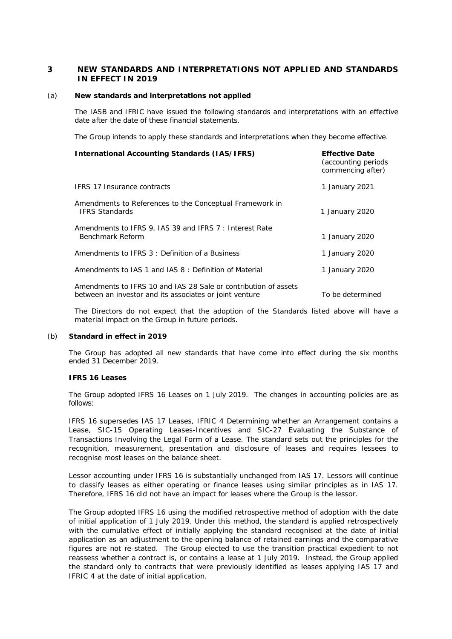#### **3 NEW STANDARDS AND INTERPRETATIONS NOT APPLIED AND STANDARDS IN EFFECT IN 2019**

#### (a) **New standards and interpretations not applied**

The IASB and IFRIC have issued the following standards and interpretations with an effective date after the date of these financial statements.

The Group intends to apply these standards and interpretations when they become effective.

| International Accounting Standards (IAS/IFRS)                                                                              | <b>Effective Date</b><br>(accounting periods<br>commencing after) |
|----------------------------------------------------------------------------------------------------------------------------|-------------------------------------------------------------------|
| <b>IFRS 17 Insurance contracts</b>                                                                                         | 1 January 2021                                                    |
| Amendments to References to the Conceptual Framework in<br><b>IFRS Standards</b>                                           | 1 January 2020                                                    |
| Amendments to IFRS 9, IAS 39 and IFRS 7: Interest Rate<br>Benchmark Reform                                                 | 1 January 2020                                                    |
| Amendments to IFRS 3: Definition of a Business                                                                             | 1 January 2020                                                    |
| Amendments to IAS 1 and IAS 8 : Definition of Material                                                                     | 1 January 2020                                                    |
| Amendments to IFRS 10 and IAS 28 Sale or contribution of assets<br>between an investor and its associates or joint venture | To be determined                                                  |

The Directors do not expect that the adoption of the Standards listed above will have a material impact on the Group in future periods.

#### (b) **Standard in effect in 2019**

The Group has adopted all new standards that have come into effect during the six months ended 31 December 2019.

*IFRS 16 Leases*

The Group adopted IFRS 16 Leases on 1 July 2019. The changes in accounting policies are as follows:

IFRS 16 supersedes IAS 17 Leases, IFRIC 4 Determining whether an Arrangement contains a Lease, SIC-15 Operating Leases-Incentives and SIC-27 Evaluating the Substance of Transactions Involving the Legal Form of a Lease. The standard sets out the principles for the recognition, measurement, presentation and disclosure of leases and requires lessees to recognise most leases on the balance sheet.

Lessor accounting under IFRS 16 is substantially unchanged from IAS 17. Lessors will continue to classify leases as either operating or finance leases using similar principles as in IAS 17. Therefore, IFRS 16 did not have an impact for leases where the Group is the lessor.

The Group adopted IFRS 16 using the modified retrospective method of adoption with the date of initial application of 1 July 2019. Under this method, the standard is applied retrospectively with the cumulative effect of initially applying the standard recognised at the date of initial application as an adjustment to the opening balance of retained earnings and the comparative figures are not re-stated. The Group elected to use the transition practical expedient to not reassess whether a contract is, or contains a lease at 1 July 2019. Instead, the Group applied the standard only to contracts that were previously identified as leases applying IAS 17 and IFRIC 4 at the date of initial application.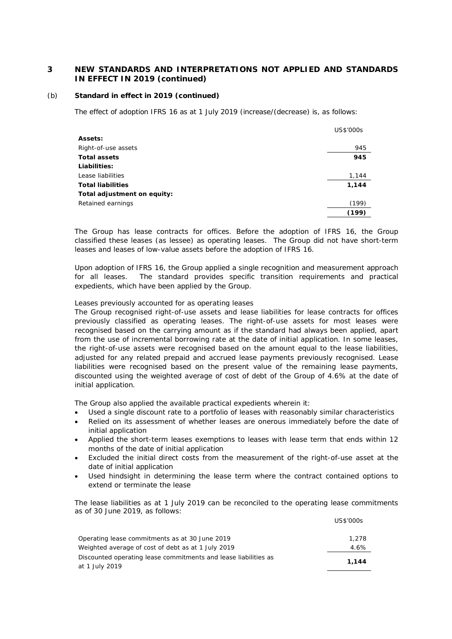#### (b) **Standard in effect in 2019 (continued)**

The effect of adoption IFRS 16 as at 1 July 2019 (increase/(decrease) is, as follows:

|                             | US\$'000s |
|-----------------------------|-----------|
| Assets:                     |           |
| Right-of-use assets         | 945       |
| Total assets                | 945       |
| Liabilities:                |           |
| Lease liabilities           | 1,144     |
| Total liabilities           | 1,144     |
| Total adjustment on equity: |           |
| Retained earnings           | (199)     |
|                             | (199)     |

The Group has lease contracts for offices. Before the adoption of IFRS 16, the Group classified these leases (as lessee) as operating leases. The Group did not have short-term leases and leases of low-value assets before the adoption of IFRS 16.

Upon adoption of IFRS 16, the Group applied a single recognition and measurement approach for all leases. The standard provides specific transition requirements and practical expedients, which have been applied by the Group.

#### *Leases previously accounted for as operating leases*

The Group recognised right-of-use assets and lease liabilities for lease contracts for offices previously classified as operating leases. The right-of-use assets for most leases were recognised based on the carrying amount as if the standard had always been applied, apart from the use of incremental borrowing rate at the date of initial application. In some leases, the right-of-use assets were recognised based on the amount equal to the lease liabilities, adjusted for any related prepaid and accrued lease payments previously recognised. Lease liabilities were recognised based on the present value of the remaining lease payments, discounted using the weighted average of cost of debt of the Group of 4.6% at the date of initial application.

The Group also applied the available practical expedients wherein it:

- Used a single discount rate to a portfolio of leases with reasonably similar characteristics
- Relied on its assessment of whether leases are onerous immediately before the date of initial application
- Applied the short-term leases exemptions to leases with lease term that ends within 12 months of the date of initial application
- Excluded the initial direct costs from the measurement of the right-of-use asset at the date of initial application
- Used hindsight in determining the lease term where the contract contained options to extend or terminate the lease

The lease liabilities as at 1 July 2019 can be reconciled to the operating lease commitments as of 30 June 2019, as follows:

|                                                                                   | US\$'000s |
|-----------------------------------------------------------------------------------|-----------|
| Operating lease commitments as at 30 June 2019                                    | 1.278     |
| Weighted average of cost of debt as at 1 July 2019                                | 4.6%      |
| Discounted operating lease commitments and lease liabilities as<br>at 1 July 2019 | 1.144     |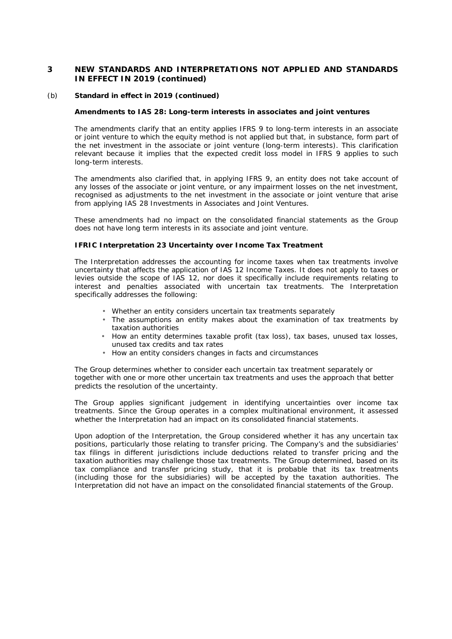#### (b) **Standard in effect in 2019 (continued)**

**Amendments to IAS 28:** *Long-term interests in associates and joint ventures*

The amendments clarify that an entity applies IFRS 9 to long-term interests in an associate or joint venture to which the equity method is not applied but that, in substance, form part of the net investment in the associate or joint venture (long-term interests). This clarification relevant because it implies that the expected credit loss model in IFRS 9 applies to such long-term interests.

The amendments also clarified that, in applying IFRS 9, an entity does not take account of any losses of the associate or joint venture, or any impairment losses on the net investment, recognised as adjustments to the net investment in the associate or joint venture that arise from applying IAS 28 *Investments in Associates and Joint Ventures*.

These amendments had no impact on the consolidated financial statements as the Group does not have long term interests in its associate and joint venture.

**IFRIC Interpretation 23** *Uncertainty over Income Tax Treatment*

The Interpretation addresses the accounting for income taxes when tax treatments involve uncertainty that affects the application of IAS 12 *Income Taxes*. It does not apply to taxes or levies outside the scope of IAS 12, nor does it specifically include requirements relating to interest and penalties associated with uncertain tax treatments. The Interpretation specifically addresses the following:

- Whether an entity considers uncertain tax treatments separately
- The assumptions an entity makes about the examination of tax treatments by taxation authorities
- How an entity determines taxable profit (tax loss), tax bases, unused tax losses, unused tax credits and tax rates
- How an entity considers changes in facts and circumstances

The Group determines whether to consider each uncertain tax treatment separately or together with one or more other uncertain tax treatments and uses the approach that better predicts the resolution of the uncertainty.

The Group applies significant judgement in identifying uncertainties over income tax treatments. Since the Group operates in a complex multinational environment, it assessed whether the Interpretation had an impact on its consolidated financial statements.

Upon adoption of the Interpretation, the Group considered whether it has any uncertain tax positions, particularly those relating to transfer pricing. The Company's and the subsidiaries' tax filings in different jurisdictions include deductions related to transfer pricing and the taxation authorities may challenge those tax treatments. The Group determined, based on its tax compliance and transfer pricing study, that it is probable that its tax treatments (including those for the subsidiaries) will be accepted by the taxation authorities. The Interpretation did not have an impact on the consolidated financial statements of the Group.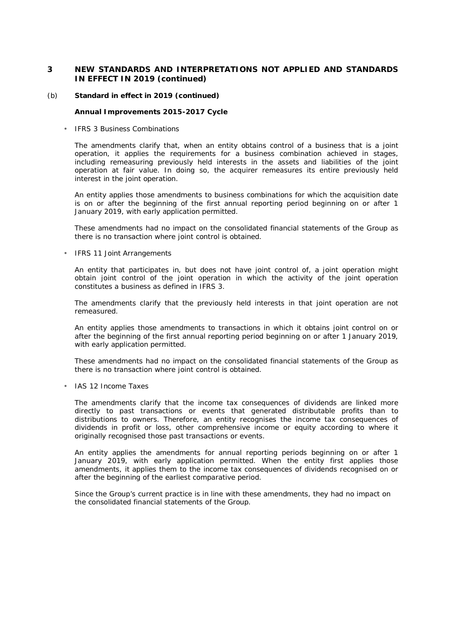(b) **Standard in effect in 2019 (continued)**

**Annual Improvements 2015-2017 Cycle**

• IFRS 3 Business Combinations

The amendments clarify that, when an entity obtains control of a business that is a joint operation, it applies the requirements for a business combination achieved in stages, including remeasuring previously held interests in the assets and liabilities of the joint operation at fair value. In doing so, the acquirer remeasures its entire previously held interest in the joint operation.

An entity applies those amendments to business combinations for which the acquisition date is on or after the beginning of the first annual reporting period beginning on or after 1 January 2019, with early application permitted.

These amendments had no impact on the consolidated financial statements of the Group as there is no transaction where joint control is obtained.

• IFRS 11 Joint Arrangements

An entity that participates in, but does not have joint control of, a joint operation might obtain joint control of the joint operation in which the activity of the joint operation constitutes a business as defined in IFRS 3.

The amendments clarify that the previously held interests in that joint operation are not remeasured.

An entity applies those amendments to transactions in which it obtains joint control on or after the beginning of the first annual reporting period beginning on or after 1 January 2019, with early application permitted.

These amendments had no impact on the consolidated financial statements of the Group as there is no transaction where joint control is obtained.

• IAS 12 Income Taxes

The amendments clarify that the income tax consequences of dividends are linked more directly to past transactions or events that generated distributable profits than to distributions to owners. Therefore, an entity recognises the income tax consequences of dividends in profit or loss, other comprehensive income or equity according to where it originally recognised those past transactions or events.

An entity applies the amendments for annual reporting periods beginning on or after 1 January 2019, with early application permitted. When the entity first applies those amendments, it applies them to the income tax consequences of dividends recognised on or after the beginning of the earliest comparative period.

Since the Group's current practice is in line with these amendments, they had no impact on the consolidated financial statements of the Group.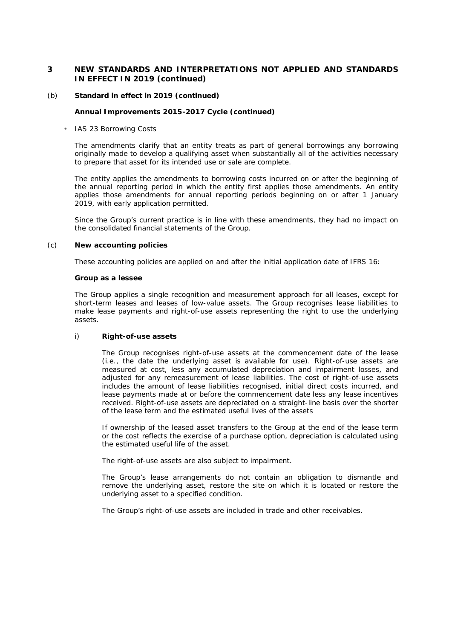#### (b) **Standard in effect in 2019 (continued)**

**Annual Improvements 2015-2017 Cycle (continued)**

#### • IAS 23 Borrowing Costs

The amendments clarify that an entity treats as part of general borrowings any borrowing originally made to develop a qualifying asset when substantially all of the activities necessary to prepare that asset for its intended use or sale are complete.

The entity applies the amendments to borrowing costs incurred on or after the beginning of the annual reporting period in which the entity first applies those amendments. An entity applies those amendments for annual reporting periods beginning on or after 1 January 2019, with early application permitted.

Since the Group's current practice is in line with these amendments, they had no impact on the consolidated financial statements of the Group.

#### (c) **New accounting policies**

These accounting policies are applied on and after the initial application date of IFRS 16:

#### **Group as a lessee**

The Group applies a single recognition and measurement approach for all leases, except for short-term leases and leases of low-value assets. The Group recognises lease liabilities to make lease payments and right-of-use assets representing the right to use the underlying assets.

#### i) **Right-of-use assets**

The Group recognises right-of-use assets at the commencement date of the lease (i.e., the date the underlying asset is available for use). Right-of-use assets are measured at cost, less any accumulated depreciation and impairment losses, and adjusted for any remeasurement of lease liabilities. The cost of right-of-use assets includes the amount of lease liabilities recognised, initial direct costs incurred, and lease payments made at or before the commencement date less any lease incentives received. Right-of-use assets are depreciated on a straight-line basis over the shorter of the lease term and the estimated useful lives of the assets

If ownership of the leased asset transfers to the Group at the end of the lease term or the cost reflects the exercise of a purchase option, depreciation is calculated using the estimated useful life of the asset.

The right-of-use assets are also subject to impairment.

The Group's lease arrangements do not contain an obligation to dismantle and remove the underlying asset, restore the site on which it is located or restore the underlying asset to a specified condition.

The Group's right-of-use assets are included in trade and other receivables.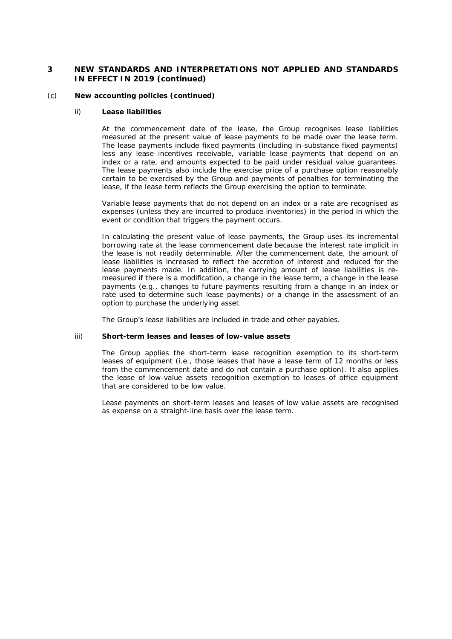- (c) **New accounting policies (continued)**
	- ii) **Lease liabilities**

At the commencement date of the lease, the Group recognises lease liabilities measured at the present value of lease payments to be made over the lease term. The lease payments include fixed payments (including in-substance fixed payments) less any lease incentives receivable, variable lease payments that depend on an index or a rate, and amounts expected to be paid under residual value guarantees. The lease payments also include the exercise price of a purchase option reasonably certain to be exercised by the Group and payments of penalties for terminating the lease, if the lease term reflects the Group exercising the option to terminate.

Variable lease payments that do not depend on an index or a rate are recognised as expenses (unless they are incurred to produce inventories) in the period in which the event or condition that triggers the payment occurs.

In calculating the present value of lease payments, the Group uses its incremental borrowing rate at the lease commencement date because the interest rate implicit in the lease is not readily determinable. After the commencement date, the amount of lease liabilities is increased to reflect the accretion of interest and reduced for the lease payments made. In addition, the carrying amount of lease liabilities is remeasured if there is a modification, a change in the lease term, a change in the lease payments (e.g., changes to future payments resulting from a change in an index or rate used to determine such lease payments) or a change in the assessment of an option to purchase the underlying asset.

The Group's lease liabilities are included in trade and other payables.

iii) **Short-term leases and leases of low-value assets**

The Group applies the short-term lease recognition exemption to its short-term leases of equipment (i.e., those leases that have a lease term of 12 months or less from the commencement date and do not contain a purchase option). It also applies the lease of low-value assets recognition exemption to leases of office equipment that are considered to be low value.

Lease payments on short-term leases and leases of low value assets are recognised as expense on a straight-line basis over the lease term.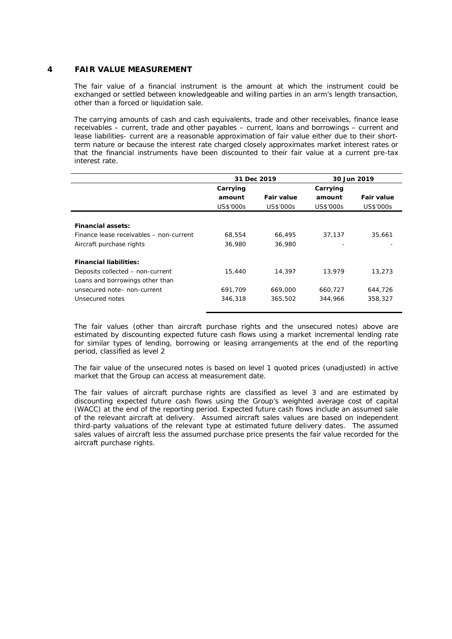#### **4 FAIR VALUE MEASUREMENT**

The fair value of a financial instrument is the amount at which the instrument could be exchanged or settled between knowledgeable and willing parties in an arm's length transaction, other than a forced or liquidation sale.

The carrying amounts of cash and cash equivalents, trade and other receivables, finance lease receivables – current, trade and other payables – current, loans and borrowings – current and lease liabilities- current are a reasonable approximation of fair value either due to their shortterm nature or because the interest rate charged closely approximates market interest rates or that the financial instruments have been discounted to their fair value at a current pre-tax interest rate.

|                                         | 31 Dec 2019 |            |           | 30 Jun 2019 |
|-----------------------------------------|-------------|------------|-----------|-------------|
|                                         | Carrying    |            | Carrying  |             |
|                                         | amount      | Fair value | amount    | Fair value  |
|                                         | US\$'000s   | US\$'000s  | US\$'000s | US\$'000s   |
|                                         |             |            |           |             |
| Financial assets:                       |             |            |           |             |
| Finance lease receivables - non-current | 68,554      | 66,495     | 37,137    | 35,661      |
| Aircraft purchase rights                | 36,980      | 36,980     | ۰         |             |
|                                         |             |            |           |             |
| Financial liabilities:                  |             |            |           |             |
| Deposits collected – non-current        | 15,440      | 14,397     | 13,979    | 13,273      |
| Loans and borrowings other than         |             |            |           |             |
| unsecured note- non-current             | 691,709     | 669,000    | 660,727   | 644,726     |
| Unsecured notes                         | 346,318     | 365,502    | 344,966   | 358,327     |
|                                         |             |            |           |             |

The fair values (other than aircraft purchase rights and the unsecured notes) above are estimated by discounting expected future cash flows using a market incremental lending rate for similar types of lending, borrowing or leasing arrangements at the end of the reporting period, classified as level 2

The fair value of the unsecured notes is based on level 1 quoted prices (unadjusted) in active market that the Group can access at measurement date.

The fair values of aircraft purchase rights are classified as level 3 and are estimated by discounting expected future cash flows using the Group's weighted average cost of capital (WACC) at the end of the reporting period. Expected future cash flows include an assumed sale of the relevant aircraft at delivery. Assumed aircraft sales values are based on independent third-party valuations of the relevant type at estimated future delivery dates. The assumed sales values of aircraft less the assumed purchase price presents the fair value recorded for the aircraft purchase rights.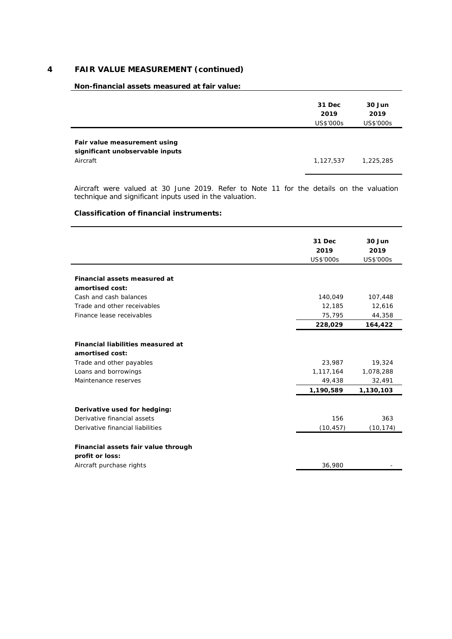### **4 FAIR VALUE MEASUREMENT (continued)**

**Non-financial assets measured at fair value:**

|                                                                             | 31 Dec<br>2019<br>US\$'000s | 30 Jun<br>2019<br>US\$'000s |
|-----------------------------------------------------------------------------|-----------------------------|-----------------------------|
| Fair value measurement using<br>significant unobservable inputs<br>Aircraft | 1,127,537                   | 1,225,285                   |

Aircraft were valued at 30 June 2019. Refer to Note 11 for the details on the valuation technique and significant inputs used in the valuation.

**Classification of financial instruments:**

|                                     | 31 Dec    | 30 Jun    |
|-------------------------------------|-----------|-----------|
|                                     | 2019      | 2019      |
|                                     | US\$'000s | US\$'000s |
|                                     |           |           |
| Financial assets measured at        |           |           |
| amortised cost:                     |           |           |
| Cash and cash balances              | 140,049   | 107,448   |
| Trade and other receivables         | 12,185    | 12,616    |
| Finance lease receivables           | 75,795    | 44,358    |
|                                     | 228,029   | 164,422   |
|                                     |           |           |
| Financial liabilities measured at   |           |           |
| amortised cost:                     |           |           |
| Trade and other payables            | 23,987    | 19,324    |
| Loans and borrowings                | 1,117,164 | 1,078,288 |
| Maintenance reserves                | 49,438    | 32,491    |
|                                     | 1,190,589 | 1,130,103 |
|                                     |           |           |
| Derivative used for hedging:        |           |           |
| Derivative financial assets         | 156       | 363       |
| Derivative financial liabilities    | (10, 457) | (10, 174) |
|                                     |           |           |
|                                     |           |           |
| Financial assets fair value through |           |           |
| profit or loss:                     |           |           |
| Aircraft purchase rights            | 36,980    |           |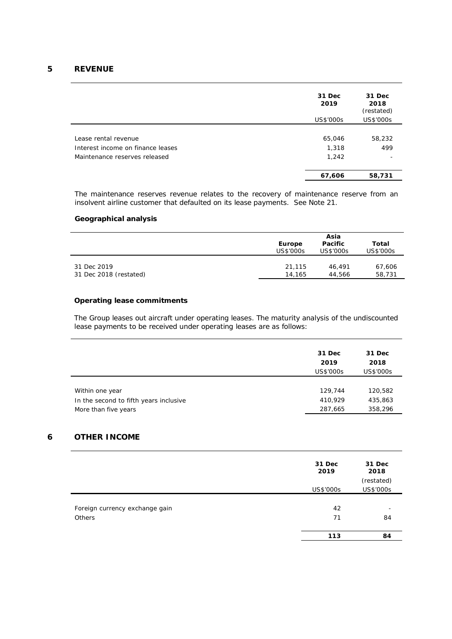### **5 REVENUE**

|                                   | 31 Dec<br>2019<br>US\$'000s | 31 Dec<br>2018<br>(restated)<br>US\$'000s |
|-----------------------------------|-----------------------------|-------------------------------------------|
|                                   |                             |                                           |
| Lease rental revenue              | 65,046                      | 58,232                                    |
| Interest income on finance leases | 1,318                       | 499                                       |
| Maintenance reserves released     | 1,242                       |                                           |
|                                   | 67,606                      | 58,731                                    |

The maintenance reserves revenue relates to the recovery of maintenance reserve from an insolvent airline customer that defaulted on its lease payments. See Note 21.

### **Geographical analysis**

|                        | Europe<br>US\$'000s | Asia<br>Pacific<br>US\$'000s | Total<br>US\$'000s |
|------------------------|---------------------|------------------------------|--------------------|
| 31 Dec 2019            | 21,115              | 46.491                       | 67,606             |
| 31 Dec 2018 (restated) | 14.165              | 44.566                       | 58,731             |

#### **Operating lease commitments**

The Group leases out aircraft under operating leases. The maturity analysis of the undiscounted lease payments to be received under operating leases are as follows:

|                                        | 31 Dec<br>2019<br>US\$'000s | 31 Dec<br>2018<br>US\$'000s |
|----------------------------------------|-----------------------------|-----------------------------|
| Within one year                        | 129.744                     | 120,582                     |
| In the second to fifth years inclusive | 410,929                     | 435,863                     |
| More than five years                   | 287,665                     | 358,296                     |

### **6 OTHER INCOME**

|                                          | 31 Dec<br>2019 | 31 Dec<br>2018<br>(restated) |
|------------------------------------------|----------------|------------------------------|
|                                          | US\$'000s      | US\$'000s                    |
| Foreign currency exchange gain<br>Others | 42<br>71       | ۰<br>84                      |
|                                          | 113            | 84                           |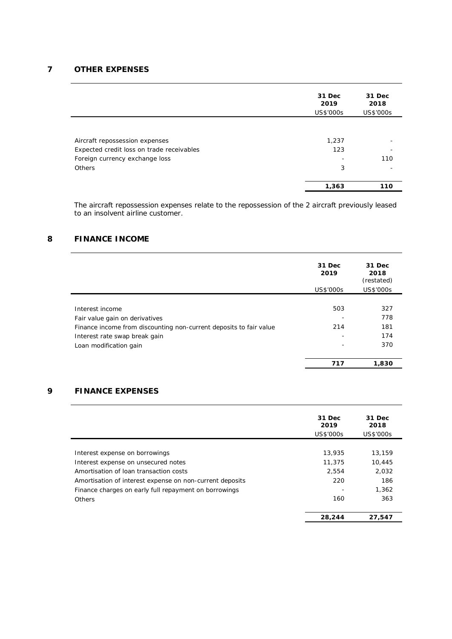## **7 OTHER EXPENSES**

|                                           | 31 Dec<br>2019<br>US\$'000s | 31 Dec<br>2018<br>US\$'000s |
|-------------------------------------------|-----------------------------|-----------------------------|
|                                           |                             |                             |
| Aircraft repossession expenses            | 1,237                       |                             |
| Expected credit loss on trade receivables | 123                         |                             |
| Foreign currency exchange loss            |                             | 110                         |
| Others                                    | 3                           |                             |
|                                           | 1,363                       | 110                         |

The aircraft repossession expenses relate to the repossession of the 2 aircraft previously leased to an insolvent airline customer.

## **8 FINANCE INCOME**

|                                                                    | 31 Dec<br>2019<br>US\$'000s | 31 Dec<br>2018<br>(restated)<br>US\$'000s |
|--------------------------------------------------------------------|-----------------------------|-------------------------------------------|
|                                                                    |                             |                                           |
| Interest income                                                    | 503                         | 327                                       |
| Fair value gain on derivatives                                     |                             | 778                                       |
| Finance income from discounting non-current deposits to fair value | 214                         | 181                                       |
| Interest rate swap break gain                                      | $\overline{\phantom{0}}$    | 174                                       |
| Loan modification gain                                             |                             | 370                                       |
|                                                                    |                             |                                           |
|                                                                    | 717                         | 1,830                                     |

## **9 FINANCE EXPENSES**

|                                                          | 31 Dec<br>2019<br>US\$'000s | 31 Dec<br>2018<br>US\$'000s |
|----------------------------------------------------------|-----------------------------|-----------------------------|
|                                                          |                             |                             |
| Interest expense on borrowings                           | 13,935                      | 13,159                      |
| Interest expense on unsecured notes                      | 11,375                      | 10,445                      |
| Amortisation of loan transaction costs                   | 2,554                       | 2,032                       |
| Amortisation of interest expense on non-current deposits | 220                         | 186                         |
| Finance charges on early full repayment on borrowings    |                             | 1,362                       |
| Others                                                   | 160                         | 363                         |
|                                                          |                             |                             |
|                                                          | 28,244                      | 27.547                      |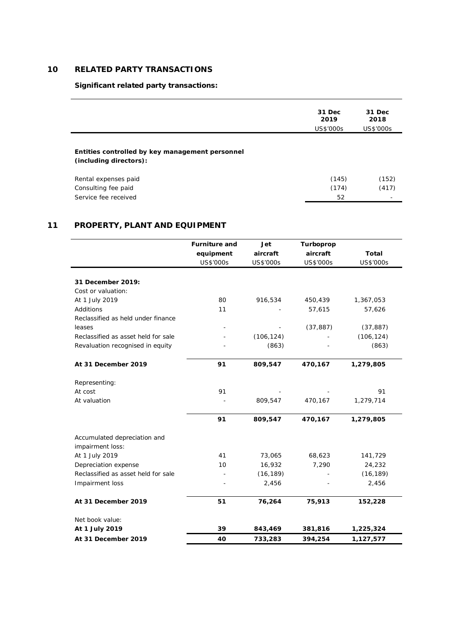### **10 RELATED PARTY TRANSACTIONS**

### **Significant related party transactions:**

|                                                                           | 31 Dec<br>2019<br>US\$'000s | 31 Dec<br>2018<br>US\$'000s |
|---------------------------------------------------------------------------|-----------------------------|-----------------------------|
| Entities controlled by key management personnel<br>(including directors): |                             |                             |
| Rental expenses paid                                                      | (145)                       | (152)                       |
| Consulting fee paid<br>Service fee received                               | (174)<br>52                 | (417)                       |

## **11 PROPERTY, PLANT AND EQUIPMENT**

|                                     | Furniture and<br>equipment | Jet<br>aircraft | Turboprop<br>aircraft | Total      |
|-------------------------------------|----------------------------|-----------------|-----------------------|------------|
|                                     | US\$'000s                  | US\$'000s       | US\$'000s             | US\$'000s  |
|                                     |                            |                 |                       |            |
| 31 December 2019:                   |                            |                 |                       |            |
| Cost or valuation:                  |                            |                 |                       |            |
| At 1 July 2019                      | 80                         | 916,534         | 450,439               | 1,367,053  |
| Additions                           | 11                         |                 | 57,615                | 57,626     |
| Reclassified as held under finance  |                            |                 |                       |            |
| leases                              |                            |                 | (37, 887)             | (37, 887)  |
| Reclassified as asset held for sale |                            | (106, 124)      |                       | (106, 124) |
| Revaluation recognised in equity    |                            | (863)           |                       | (863)      |
|                                     |                            |                 |                       |            |
| At 31 December 2019                 | 91                         | 809,547         | 470,167               | 1,279,805  |
|                                     |                            |                 |                       |            |
| Representing:                       |                            |                 |                       |            |
| At cost                             | 91                         |                 |                       | 91         |
| At valuation                        |                            | 809,547         | 470,167               | 1,279,714  |
|                                     |                            |                 |                       |            |
|                                     | 91                         | 809,547         | 470,167               | 1,279,805  |
|                                     |                            |                 |                       |            |
| Accumulated depreciation and        |                            |                 |                       |            |
| impairment loss:                    |                            |                 |                       |            |
| At 1 July 2019                      | 41                         | 73,065          | 68,623                | 141,729    |
| Depreciation expense                | 10                         | 16,932          | 7,290                 | 24,232     |
| Reclassified as asset held for sale |                            | (16, 189)       |                       | (16, 189)  |
| Impairment loss                     |                            | 2,456           |                       | 2,456      |
|                                     |                            |                 |                       |            |
| At 31 December 2019                 | 51                         | 76,264          | 75,913                | 152,228    |
| Net book value:                     |                            |                 |                       |            |
| At 1 July 2019                      | 39                         | 843,469         | 381,816               | 1,225,324  |
| At 31 December 2019                 | 40                         | 733,283         | 394,254               | 1,127,577  |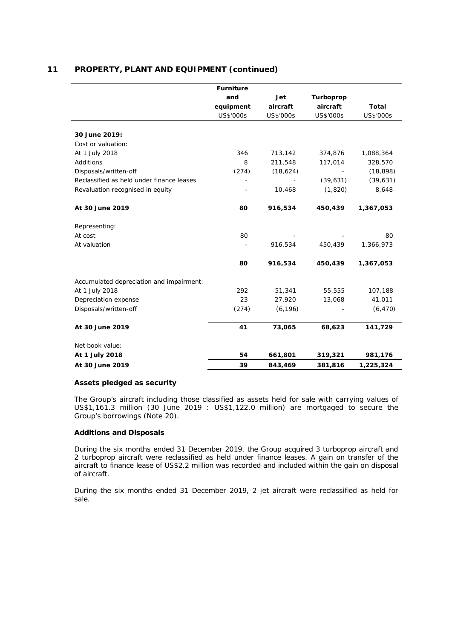|                                           | Furniture |           |           |           |
|-------------------------------------------|-----------|-----------|-----------|-----------|
|                                           | and       | Jet       | Turboprop |           |
|                                           | equipment | aircraft  | aircraft  | Total     |
|                                           | US\$'000s | US\$'000s | US\$'000s | US\$'000s |
|                                           |           |           |           |           |
| 30 June 2019:                             |           |           |           |           |
| Cost or valuation:                        |           |           |           |           |
| At 1 July 2018                            | 346       | 713,142   | 374,876   | 1,088,364 |
| Additions                                 | 8         | 211,548   | 117,014   | 328,570   |
| Disposals/written-off                     | (274)     | (18,624)  |           | (18, 898) |
| Reclassified as held under finance leases |           |           | (39, 631) | (39, 631) |
| Revaluation recognised in equity          |           | 10,468    | (1,820)   | 8,648     |
|                                           |           |           |           |           |
| At 30 June 2019                           | 80        | 916,534   | 450,439   | 1,367,053 |
|                                           |           |           |           |           |
| Representing:                             |           |           |           |           |
| At cost                                   | 80        |           |           | 80        |
| At valuation                              |           | 916,534   | 450,439   | 1,366,973 |
|                                           | 80        | 916,534   | 450,439   | 1,367,053 |
|                                           |           |           |           |           |
| Accumulated depreciation and impairment:  |           |           |           |           |
| At 1 July 2018                            | 292       | 51,341    | 55,555    | 107,188   |
| Depreciation expense                      | 23        | 27,920    | 13,068    | 41,011    |
| Disposals/written-off                     | (274)     | (6, 196)  |           | (6, 470)  |
| At 30 June 2019                           | 41        | 73,065    | 68,623    | 141,729   |
|                                           |           |           |           |           |
| Net book value:                           |           |           |           |           |
| At 1 July 2018                            | 54        | 661,801   | 319,321   | 981,176   |
| At 30 June 2019                           | 39        | 843,469   | 381,816   | 1,225,324 |

### **11 PROPERTY, PLANT AND EQUIPMENT (continued)**

**Assets pledged as security**

The Group's aircraft including those classified as assets held for sale with carrying values of US\$1,161.3 million (30 June 2019 : US\$1,122.0 million) are mortgaged to secure the Group's borrowings (Note 20).

#### **Additions and Disposals**

During the six months ended 31 December 2019, the Group acquired 3 turboprop aircraft and 2 turboprop aircraft were reclassified as held under finance leases. A gain on transfer of the aircraft to finance lease of US\$2.2 million was recorded and included within the gain on disposal of aircraft.

During the six months ended 31 December 2019, 2 jet aircraft were reclassified as held for sale.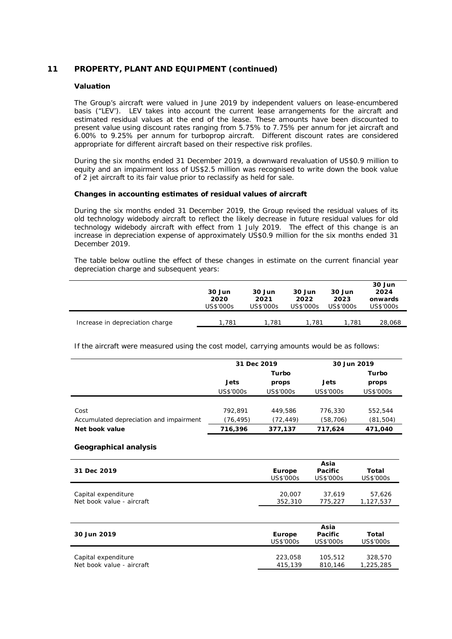### **11 PROPERTY, PLANT AND EQUIPMENT (continued)**

#### **Valuation**

The Group's aircraft were valued in June 2019 by independent valuers on lease-encumbered basis ("LEV'). LEV takes into account the current lease arrangements for the aircraft and estimated residual values at the end of the lease. These amounts have been discounted to present value using discount rates ranging from 5.75% to 7.75% per annum for jet aircraft and 6.00% to 9.25% per annum for turboprop aircraft. Different discount rates are considered appropriate for different aircraft based on their respective risk profiles.

During the six months ended 31 December 2019, a downward revaluation of US\$0.9 million to equity and an impairment loss of US\$2.5 million was recognised to write down the book value of 2 jet aircraft to its fair value prior to reclassify as held for sale.

**Changes in accounting estimates of residual values of aircraft**

During the six months ended 31 December 2019, the Group revised the residual values of its old technology widebody aircraft to reflect the likely decrease in future residual values for old technology widebody aircraft with effect from 1 July 2019. The effect of this change is an increase in depreciation expense of approximately US\$0.9 million for the six months ended 31 December 2019.

The table below outline the effect of these changes in estimate on the current financial year depreciation charge and subsequent years:

|                                 | 30 Jun<br>2020<br>US\$'000s | $30$ Jun<br>2021<br>US\$'000s | 30 Jun<br>2022<br>US\$'000s | 30 Jun<br>2023<br>US\$'000s | 30 Jun<br>2024<br>onwards<br>US\$'000s |
|---------------------------------|-----------------------------|-------------------------------|-----------------------------|-----------------------------|----------------------------------------|
| Increase in depreciation charge | 1.781                       | 1,781                         | 1.781                       | 1.781                       | 28,068                                 |

If the aircraft were measured using the cost model, carrying amounts would be as follows:

|                                         | 31 Dec 2019 |           | 30 Jun 2019 |           |
|-----------------------------------------|-------------|-----------|-------------|-----------|
|                                         | Turbo       |           |             | Turbo     |
|                                         | Jets        | props     | Jets        | props     |
|                                         | US\$'000s   | US\$'000s | US\$'000s   | US\$'000s |
|                                         |             |           |             |           |
| Cost                                    | 792.891     | 449.586   | 776,330     | 552,544   |
| Accumulated depreciation and impairment | (76,495)    | (72, 449) | (58,706)    | (81,504)  |
| Net book value                          | 716,396     | 377,137   | 717,624     | 471,040   |
|                                         |             |           |             |           |

#### **Geographical analysis**

| 31 Dec 2019               | Europe<br><b>US\$'000s</b> | Asia<br>Pacific<br>US\$'000s | Total<br>US\$'000s |
|---------------------------|----------------------------|------------------------------|--------------------|
| Capital expenditure       | 20,007                     | 37.619                       | 57,626             |
| Net book value - aircraft | 352,310                    | 775.227                      | 1,127,537          |

|                           |                  | Asia      |           |
|---------------------------|------------------|-----------|-----------|
| 30 Jun 2019               | Europe           | Pacific   | Total     |
|                           | <b>US\$'000s</b> | US\$'000s | US\$'000s |
|                           |                  |           |           |
| Capital expenditure       | 223,058          | 105,512   | 328,570   |
| Net book value - aircraft | 415,139          | 810.146   | 1,225,285 |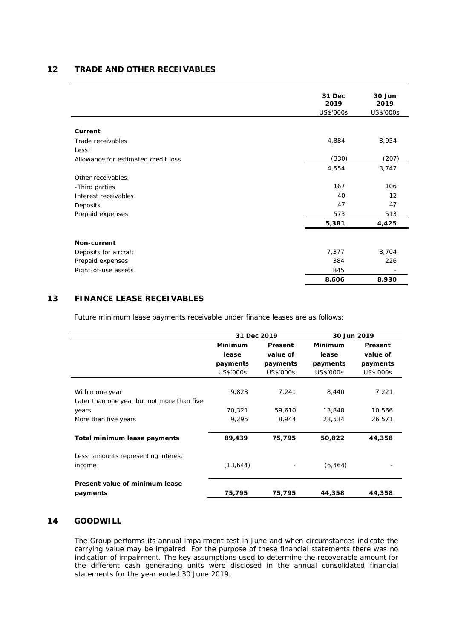#### **12 TRADE AND OTHER RECEIVABLES**

|                                     | 31 Dec    | 30 Jun    |
|-------------------------------------|-----------|-----------|
|                                     | 2019      | 2019      |
|                                     | US\$'000s | US\$'000s |
|                                     |           |           |
| Current                             |           |           |
| Trade receivables                   | 4,884     | 3,954     |
| Less:                               |           |           |
| Allowance for estimated credit loss | (330)     | (207)     |
|                                     | 4,554     | 3,747     |
| Other receivables:                  |           |           |
| -Third parties                      | 167       | 106       |
| Interest receivables                | 40        | 12        |
| Deposits                            | 47        | 47        |
| Prepaid expenses                    | 573       | 513       |
|                                     | 5,381     | 4,425     |
|                                     |           |           |
| Non-current                         |           |           |
| Deposits for aircraft               | 7,377     | 8,704     |
| Prepaid expenses                    | 384       | 226       |
| Right-of-use assets                 | 845       |           |
|                                     | 8,606     | 8,930     |

## **13 FINANCE LEASE RECEIVABLES**

Future minimum lease payments receivable under finance leases are as follows:

|                                            | 31 Dec 2019 |           | 30 Jun 2019 |           |
|--------------------------------------------|-------------|-----------|-------------|-----------|
|                                            | Minimum     | Present   | Minimum     | Present   |
|                                            | lease       | value of  | lease       | value of  |
|                                            | payments    | payments  | payments    | payments  |
|                                            | US\$'000s   | US\$'000s | US\$'000s   | US\$'000s |
|                                            |             |           |             |           |
| Within one year                            | 9,823       | 7,241     | 8,440       | 7,221     |
| Later than one year but not more than five |             |           |             |           |
| years                                      | 70,321      | 59,610    | 13,848      | 10,566    |
| More than five years                       | 9,295       | 8,944     | 28,534      | 26,571    |
|                                            |             |           |             |           |
| Total minimum lease payments               | 89,439      | 75,795    | 50,822      | 44,358    |
|                                            |             |           |             |           |
| Less: amounts representing interest        |             |           |             |           |
| income                                     | (13, 644)   |           | (6, 464)    |           |
|                                            |             |           |             |           |
| Present value of minimum lease             |             |           |             |           |
| payments                                   | 75,795      | 75,795    | 44,358      | 44,358    |

### **14 GOODWILL**

The Group performs its annual impairment test in June and when circumstances indicate the carrying value may be impaired. For the purpose of these financial statements there was no indication of impairment. The key assumptions used to determine the recoverable amount for the different cash generating units were disclosed in the annual consolidated financial statements for the year ended 30 June 2019.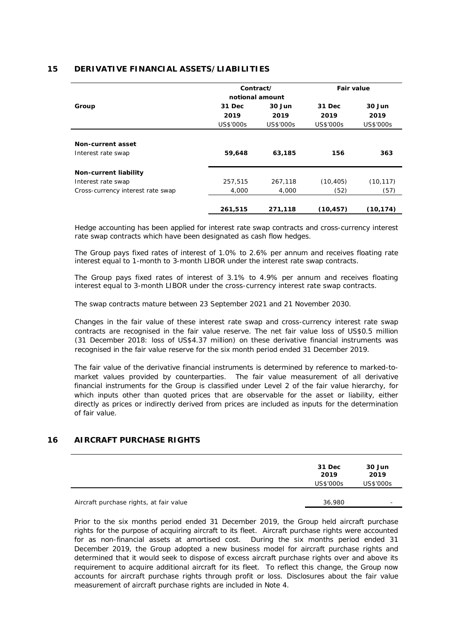|                                   |           | Contract/       | Fair value |           |
|-----------------------------------|-----------|-----------------|------------|-----------|
|                                   |           | notional amount |            |           |
| Group                             | 31 Dec    | 30 Jun          | 31 Dec     | 30 Jun    |
|                                   | 2019      | 2019            | 2019       | 2019      |
|                                   | US\$'000s | US\$'000s       | US\$'000s  | US\$'000s |
|                                   |           |                 |            |           |
| Non-current asset                 |           |                 |            |           |
| Interest rate swap                | 59,648    | 63,185          | 156        | 363       |
|                                   |           |                 |            |           |
| Non-current liability             |           |                 |            |           |
| Interest rate swap                | 257,515   | 267,118         | (10, 405)  | (10, 117) |
| Cross-currency interest rate swap | 4,000     | 4,000           | (52)       | (57)      |
|                                   |           |                 |            |           |
|                                   | 261,515   | 271,118         | (10, 457)  | (10, 174) |

### **15 DERIVATIVE FINANCIAL ASSETS/LIABILITIES**

Hedge accounting has been applied for interest rate swap contracts and cross-currency interest rate swap contracts which have been designated as cash flow hedges.

The Group pays fixed rates of interest of 1.0% to 2.6% per annum and receives floating rate interest equal to 1-month to 3-month LIBOR under the interest rate swap contracts.

The Group pays fixed rates of interest of 3.1% to 4.9% per annum and receives floating interest equal to 3-month LIBOR under the cross-currency interest rate swap contracts.

The swap contracts mature between 23 September 2021 and 21 November 2030.

Changes in the fair value of these interest rate swap and cross-currency interest rate swap contracts are recognised in the fair value reserve. The net fair value loss of US\$0.5 million (31 December 2018: loss of US\$4.37 million) on these derivative financial instruments was recognised in the fair value reserve for the six month period ended 31 December 2019.

The fair value of the derivative financial instruments is determined by reference to marked-tomarket values provided by counterparties. The fair value measurement of all derivative financial instruments for the Group is classified under Level 2 of the fair value hierarchy, for which inputs other than quoted prices that are observable for the asset or liability, either directly as prices or indirectly derived from prices are included as inputs for the determination of fair value.

### **16 AIRCRAFT PURCHASE RIGHTS**

|                                         | 31 Dec<br>2019 | 30 Jun<br>2019 |
|-----------------------------------------|----------------|----------------|
|                                         | US\$'000s      | US\$'000s      |
| Aircraft purchase rights, at fair value | 36,980         | -              |

Prior to the six months period ended 31 December 2019, the Group held aircraft purchase rights for the purpose of acquiring aircraft to its fleet. Aircraft purchase rights were accounted for as non-financial assets at amortised cost. During the six months period ended 31 December 2019, the Group adopted a new business model for aircraft purchase rights and determined that it would seek to dispose of excess aircraft purchase rights over and above its requirement to acquire additional aircraft for its fleet. To reflect this change, the Group now accounts for aircraft purchase rights through profit or loss. Disclosures about the fair value measurement of aircraft purchase rights are included in Note 4.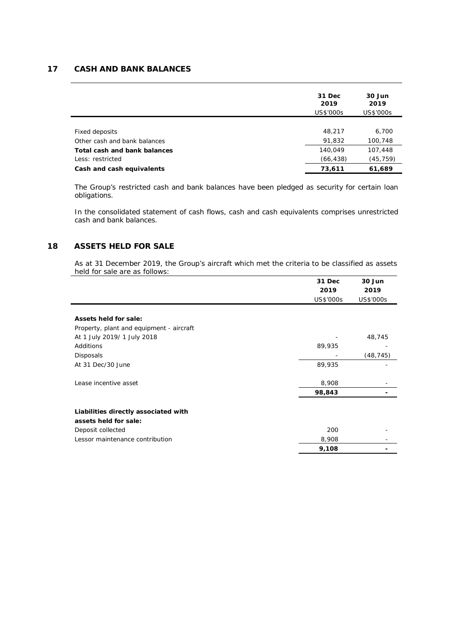### **17 CASH AND BANK BALANCES**

|                              | 31 Dec<br>2019<br>US\$'000s | 30 Jun<br>2019<br>US\$'000s |
|------------------------------|-----------------------------|-----------------------------|
|                              |                             |                             |
| Fixed deposits               | 48.217                      | 6,700                       |
| Other cash and bank balances | 91,832                      | 100,748                     |
| Total cash and bank balances | 140,049                     | 107,448                     |
| Less: restricted             | (66,438)                    | (45,759)                    |
| Cash and cash equivalents    | 73,611                      | 61,689                      |

The Group's restricted cash and bank balances have been pledged as security for certain loan obligations.

In the consolidated statement of cash flows, cash and cash equivalents comprises unrestricted cash and bank balances.

## **18 ASSETS HELD FOR SALE**

As at 31 December 2019, the Group's aircraft which met the criteria to be classified as assets held for sale are as follows:

|                                          | 31 Dec    | 30 Jun    |
|------------------------------------------|-----------|-----------|
|                                          | 2019      | 2019      |
|                                          | US\$'000s | US\$'000s |
|                                          |           |           |
| Assets held for sale:                    |           |           |
| Property, plant and equipment - aircraft |           |           |
| At 1 July 2019/ 1 July 2018              |           | 48,745    |
| Additions                                | 89,935    |           |
| Disposals                                |           | (48, 745) |
| At 31 Dec/30 June                        | 89,935    |           |
|                                          |           |           |
| Lease incentive asset                    | 8,908     |           |
|                                          | 98,843    |           |
|                                          |           |           |
| Liabilities directly associated with     |           |           |
| assets held for sale:                    |           |           |
| Deposit collected                        | 200       |           |
| Lessor maintenance contribution          | 8,908     |           |
|                                          | 9,108     |           |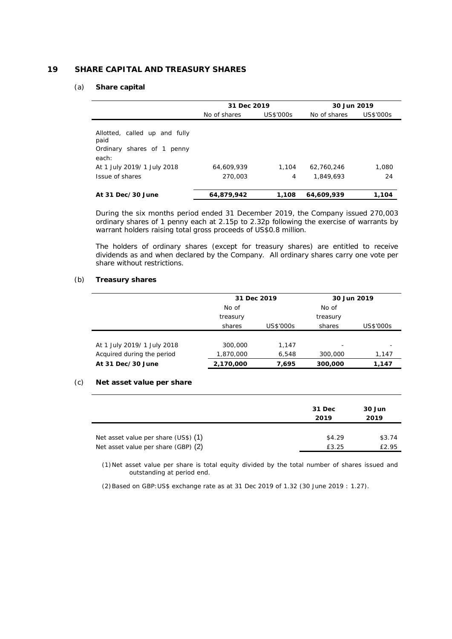#### **19 SHARE CAPITAL AND TREASURY SHARES**

#### (a) **Share capital**

|                                                                                                                                | 31 Dec 2019           |            | 30 Jun 2019             |             |
|--------------------------------------------------------------------------------------------------------------------------------|-----------------------|------------|-------------------------|-------------|
|                                                                                                                                | No of shares          | US\$'000s  | No of shares            | US\$'000s   |
| Allotted, called up and fully<br>paid<br>Ordinary shares of 1 penny<br>each:<br>At 1 July 2019/ 1 July 2018<br>Issue of shares | 64,609,939<br>270.003 | 1.104<br>4 | 62.760.246<br>1,849,693 | 1,080<br>24 |
| At 31 Dec/30 June                                                                                                              | 64.879.942            | 1.108      | 64.609.939              | 1,104       |

During the six months period ended 31 December 2019, the Company issued 270,003 ordinary shares of 1 penny each at 2.15p to 2.32p following the exercise of warrants by warrant holders raising total gross proceeds of US\$0.8 million.

The holders of ordinary shares (except for treasury shares) are entitled to receive dividends as and when declared by the Company. All ordinary shares carry one vote per share without restrictions.

#### (b) **Treasury shares**

|                             | 31 Dec 2019 |           | 30 Jun 2019              |           |
|-----------------------------|-------------|-----------|--------------------------|-----------|
|                             | No of       |           | No of                    |           |
|                             | treasury    |           | treasury                 |           |
|                             | shares      | US\$'000s | shares                   | US\$'000s |
|                             |             |           |                          |           |
| At 1 July 2019/ 1 July 2018 | 300,000     | 1.147     | $\overline{\phantom{a}}$ |           |
| Acquired during the period  | 1,870,000   | 6.548     | 300,000                  | 1,147     |
| At 31 Dec/30 June           | 2,170,000   | 7.695     | 300,000                  | 1.147     |

#### (c) **Net asset value per share**

|                                      | 31 Dec<br>2019 | 30 Jun<br>2019 |
|--------------------------------------|----------------|----------------|
| Net asset value per share (US\$) (1) | \$4.29         | \$3.74         |
| Net asset value per share (GBP) (2)  | £3.25          | £2.95          |

(1) Net asset value per share is total equity divided by the total number of shares issued and outstanding at period end.

(2) Based on GBP:US\$ exchange rate as at 31 Dec 2019 of 1.32 (30 June 2019 : 1.27).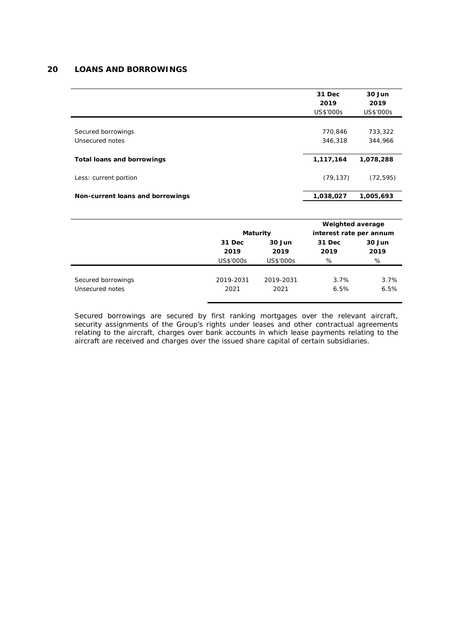### **20 LOANS AND BORROWINGS**

|                                  |           |           | 31 Dec           | 30 Jun                  |
|----------------------------------|-----------|-----------|------------------|-------------------------|
|                                  |           |           | 2019             | 2019                    |
|                                  |           |           | US\$'000s        | US\$'000s               |
|                                  |           |           |                  |                         |
| Secured borrowings               |           |           | 770,846          | 733,322                 |
| Unsecured notes                  |           |           | 346,318          | 344,966                 |
| Total loans and borrowings       |           |           | 1,117,164        | 1,078,288               |
| Less: current portion            |           |           | (79, 137)        | (72, 595)               |
| Non-current loans and borrowings |           |           | 1,038,027        | 1,005,693               |
|                                  |           |           |                  |                         |
|                                  |           |           | Weighted average |                         |
|                                  |           | Maturity  |                  | interest rate per annum |
|                                  | 31 Dec    | 30 Jun    | 31 Dec           | 30 Jun                  |
|                                  | 2019      | 2019      | 2019             | 2019                    |
|                                  | US\$'000s | US\$'000s | %                | %                       |

| Secured borrowings | 2019-2031 | 2019-2031 | $3.7\%$ | $3.7\%$ |
|--------------------|-----------|-----------|---------|---------|
| Unsecured notes    | 2021      | 2021      | 6.5%    | 6.5%    |
|                    |           |           |         |         |

Secured borrowings are secured by first ranking mortgages over the relevant aircraft, security assignments of the Group's rights under leases and other contractual agreements relating to the aircraft, charges over bank accounts in which lease payments relating to the aircraft are received and charges over the issued share capital of certain subsidiaries.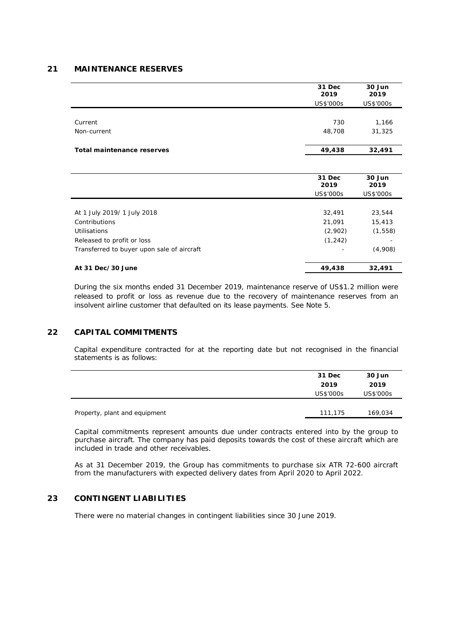#### **21 MAINTENANCE RESERVES**

|                            | 31 Dec<br>2019<br>US\$'000s | 30 Jun<br>2019<br>US\$'000s |
|----------------------------|-----------------------------|-----------------------------|
| Current<br>Non-current     | 730<br>48,708               | 1,166<br>31,325             |
| Total maintenance reserves | 49,438                      | 32,491                      |

|                                            | 31 Dec    | 30 Jun    |
|--------------------------------------------|-----------|-----------|
|                                            | 2019      | 2019      |
|                                            | US\$'000s | US\$'000s |
|                                            |           |           |
| At 1 July 2019/ 1 July 2018                | 32,491    | 23,544    |
| Contributions                              | 21.091    | 15,413    |
| Utilisations                               | (2,902)   | (1, 558)  |
| Released to profit or loss                 | (1, 242)  |           |
| Transferred to buyer upon sale of aircraft |           | (4,908)   |
|                                            |           |           |
| At 31 Dec/30 June                          | 49,438    | 32,491    |
|                                            |           |           |

During the six months ended 31 December 2019, maintenance reserve of US\$1.2 million were released to profit or loss as revenue due to the recovery of maintenance reserves from an insolvent airline customer that defaulted on its lease payments. See Note 5.

### **22 CAPITAL COMMITMENTS**

Capital expenditure contracted for at the reporting date but not recognised in the financial statements is as follows:

|                               | 31 Dec    | 30 Jun    |
|-------------------------------|-----------|-----------|
|                               | 2019      | 2019      |
|                               | US\$'000s | US\$'000s |
|                               |           |           |
| Property, plant and equipment | 111,175   | 169,034   |

Capital commitments represent amounts due under contracts entered into by the group to purchase aircraft. The company has paid deposits towards the cost of these aircraft which are included in trade and other receivables.

As at 31 December 2019, the Group has commitments to purchase six ATR 72-600 aircraft from the manufacturers with expected delivery dates from April 2020 to April 2022.

### **23 CONTINGENT LIABILITIES**

There were no material changes in contingent liabilities since 30 June 2019.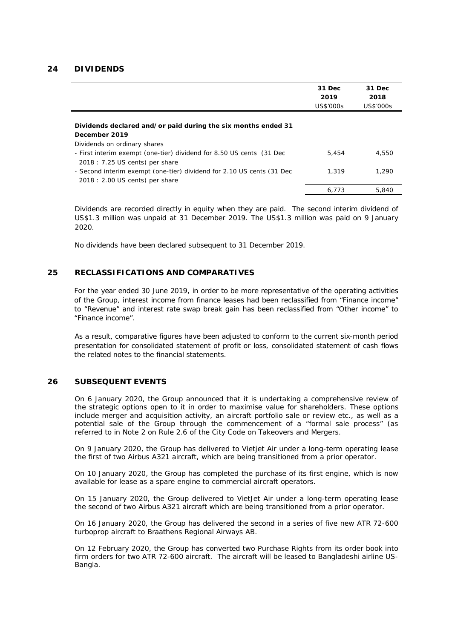### **24 DIVIDENDS**

|                                                                       | 31 Dec    | 31 Dec    |
|-----------------------------------------------------------------------|-----------|-----------|
|                                                                       | 2019      | 2018      |
|                                                                       | US\$'000s | US\$'000s |
|                                                                       |           |           |
| Dividends declared and/or paid during the six months ended 31         |           |           |
| December 2019                                                         |           |           |
| Dividends on ordinary shares                                          |           |           |
| - First interim exempt (one-tier) dividend for 8.50 US cents (31 Dec  | 5.454     | 4,550     |
| 2018: 7.25 US cents) per share                                        |           |           |
| - Second interim exempt (one-tier) dividend for 2.10 US cents (31 Dec | 1.319     | 1.290     |
| 2018 : 2.00 US cents) per share                                       |           |           |
|                                                                       | 6.773     | 5,840     |

Dividends are recorded directly in equity when they are paid. The second interim dividend of US\$1.3 million was unpaid at 31 December 2019. The US\$1.3 million was paid on 9 January 2020.

No dividends have been declared subsequent to 31 December 2019.

#### **25 RECLASSIFICATIONS AND COMPARATIVES**

For the year ended 30 June 2019, in order to be more representative of the operating activities of the Group, interest income from finance leases had been reclassified from "Finance income" to "Revenue" and interest rate swap break gain has been reclassified from "Other income" to "Finance income".

As a result, comparative figures have been adjusted to conform to the current six-month period presentation for consolidated statement of profit or loss, consolidated statement of cash flows the related notes to the financial statements.

#### **26 SUBSEQUENT EVENTS**

On 6 January 2020, the Group announced that it is undertaking a comprehensive review of the strategic options open to it in order to maximise value for shareholders. These options include merger and acquisition activity, an aircraft portfolio sale or review etc., as well as a potential sale of the Group through the commencement of a "formal sale process" (as referred to in Note 2 on Rule 2.6 of the City Code on Takeovers and Mergers.

On 9 January 2020, the Group has delivered to Vietjet Air under a long-term operating lease the first of two Airbus A321 aircraft, which are being transitioned from a prior operator.

On 10 January 2020, the Group has completed the purchase of its first engine, which is now available for lease as a spare engine to commercial aircraft operators.

On 15 January 2020, the Group delivered to VietJet Air under a long-term operating lease the second of two Airbus A321 aircraft which are being transitioned from a prior operator.

On 16 January 2020, the Group has delivered the second in a series of five new ATR 72-600 turboprop aircraft to Braathens Regional Airways AB.

On 12 February 2020, the Group has converted two Purchase Rights from its order book into firm orders for two ATR 72-600 aircraft. The aircraft will be leased to Bangladeshi airline US-Bangla.